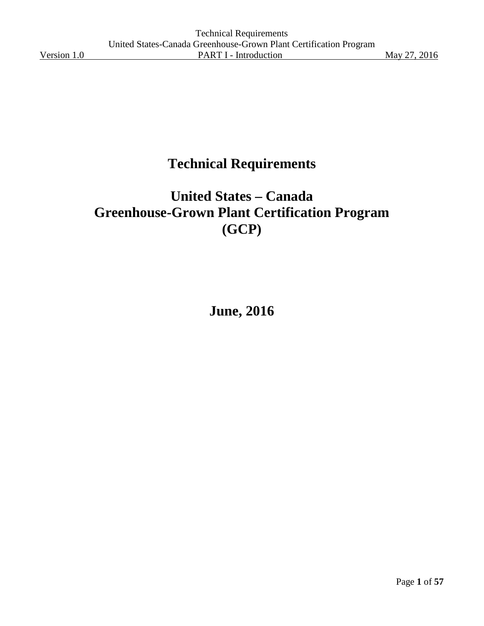# **Technical Requirements**

# **United States – Canada Greenhouse-Grown Plant Certification Program (GCP)**

**June, 2016**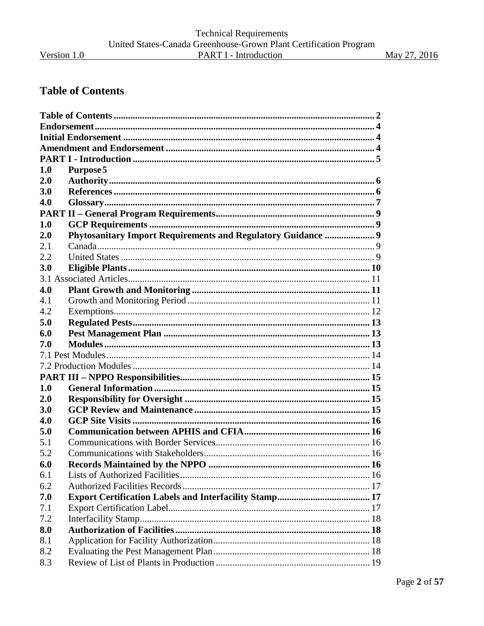May 27, 2016

## <span id="page-1-0"></span>**Table of Contents**

| 1.0        | Purpose 5                                                    |  |
|------------|--------------------------------------------------------------|--|
| 2.0        |                                                              |  |
| <b>3.0</b> |                                                              |  |
| 4.0        |                                                              |  |
|            |                                                              |  |
| 1.0        |                                                              |  |
| 2.0        | Phytosanitary Import Requirements and Regulatory Guidance  9 |  |
| 2.1        |                                                              |  |
| 2.2        |                                                              |  |
| <b>3.0</b> |                                                              |  |
|            |                                                              |  |
| 4.0        |                                                              |  |
| 4.1        |                                                              |  |
| 4.2        |                                                              |  |
| 5.0        |                                                              |  |
| 6.0        |                                                              |  |
| 7.0        |                                                              |  |
|            |                                                              |  |
|            |                                                              |  |
|            |                                                              |  |
| 1.0        |                                                              |  |
| 2.0        |                                                              |  |
| 3.0        |                                                              |  |
| 4.0        |                                                              |  |
| 5.0        |                                                              |  |
| 5.1        |                                                              |  |
| 5.2        |                                                              |  |
| 6.0        |                                                              |  |
| 6.1        |                                                              |  |
| 6.2        |                                                              |  |
| 7.0        |                                                              |  |
| 7.1        |                                                              |  |
| 7.2        |                                                              |  |
| 8.0        |                                                              |  |
| 8.1        |                                                              |  |
| 8.2        |                                                              |  |
| 8.3        |                                                              |  |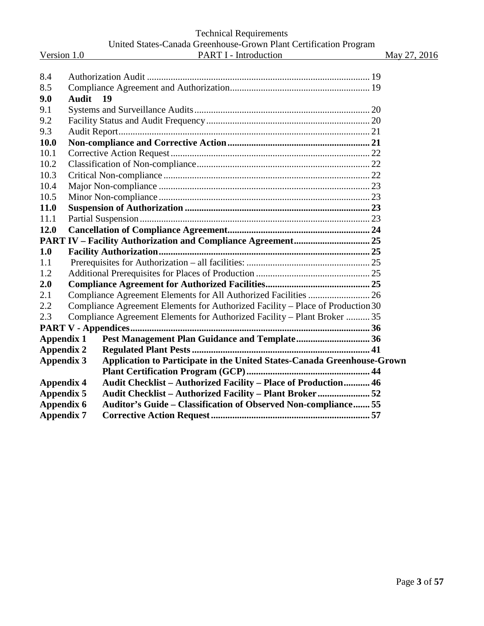### Technical Requirements United States-Canada Greenhouse-Grown Plant Certification Program Version 1.0 **PART I** - Introduction May 27, 2016

| 8.4               |                                                                                |  |
|-------------------|--------------------------------------------------------------------------------|--|
| 8.5               |                                                                                |  |
| 9.0               | <b>Audit</b><br>19                                                             |  |
| 9.1               |                                                                                |  |
| 9.2               |                                                                                |  |
| 9.3               |                                                                                |  |
| 10.0              |                                                                                |  |
| 10.1              |                                                                                |  |
| 10.2              |                                                                                |  |
| 10.3              |                                                                                |  |
| 10.4              |                                                                                |  |
| 10.5              |                                                                                |  |
| 11.0              |                                                                                |  |
| 11.1              |                                                                                |  |
| 12.0              |                                                                                |  |
|                   |                                                                                |  |
| 1.0               |                                                                                |  |
| 1.1               |                                                                                |  |
| 1.2               |                                                                                |  |
| 2.0               |                                                                                |  |
| 2.1               | Compliance Agreement Elements for All Authorized Facilities  26                |  |
| 2.2               | Compliance Agreement Elements for Authorized Facility - Place of Production 30 |  |
| 2.3               | Compliance Agreement Elements for Authorized Facility - Plant Broker  35       |  |
|                   |                                                                                |  |
| <b>Appendix 1</b> |                                                                                |  |
| <b>Appendix 2</b> |                                                                                |  |
| <b>Appendix 3</b> | Application to Participate in the United States-Canada Greenhouse-Grown        |  |
|                   |                                                                                |  |
| <b>Appendix 4</b> | Audit Checklist - Authorized Facility - Place of Production 46                 |  |
| <b>Appendix 5</b> | Audit Checklist - Authorized Facility - Plant Broker 52                        |  |
| <b>Appendix 6</b> | Auditor's Guide - Classification of Observed Non-compliance 55                 |  |
| <b>Appendix 7</b> |                                                                                |  |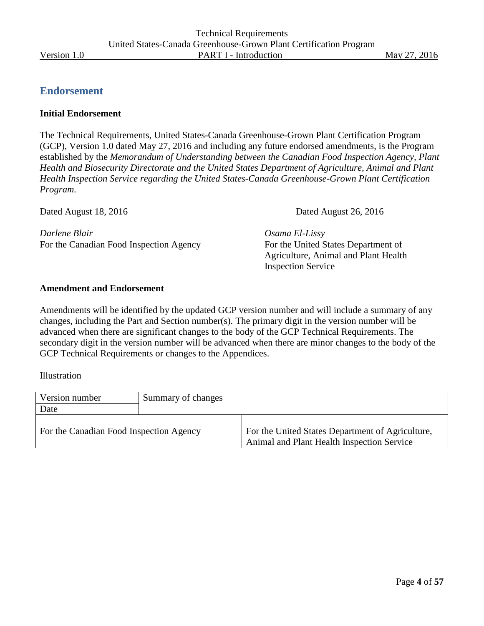## <span id="page-3-0"></span>**Endorsement**

#### <span id="page-3-1"></span>**Initial Endorsement**

The Technical Requirements, United States-Canada Greenhouse-Grown Plant Certification Program (GCP), Version 1.0 dated May 27, 2016 and including any future endorsed amendments, is the Program established by the *Memorandum of Understanding between the Canadian Food Inspection Agency, Plant Health and Biosecurity Directorate and the United States Department of Agriculture, Animal and Plant Health Inspection Service regarding the United States-Canada Greenhouse-Grown Plant Certification Program.*

For the Canadian Food Inspection Agency For the United States Department of

Dated August 18, 2016 **Dated August 26, 2016** Dated August 26, 2016

*Darlene Blair Osama El-Lissy*

Agriculture, Animal and Plant Health Inspection Service

### <span id="page-3-2"></span>**Amendment and Endorsement**

Amendments will be identified by the updated GCP version number and will include a summary of any changes, including the Part and Section number(s). The primary digit in the version number will be advanced when there are significant changes to the body of the GCP Technical Requirements. The secondary digit in the version number will be advanced when there are minor changes to the body of the GCP Technical Requirements or changes to the Appendices.

Illustration

| Version number                          | Summary of changes |                                                                                                |
|-----------------------------------------|--------------------|------------------------------------------------------------------------------------------------|
| Date                                    |                    |                                                                                                |
| For the Canadian Food Inspection Agency |                    | For the United States Department of Agriculture,<br>Animal and Plant Health Inspection Service |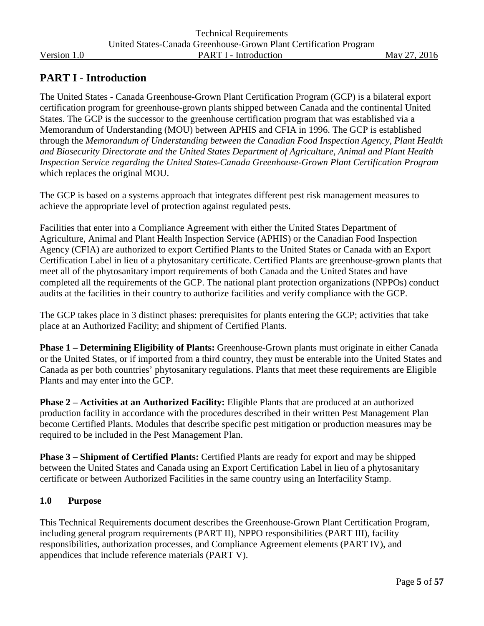## <span id="page-4-0"></span>**PART I - Introduction**

The United States - Canada Greenhouse-Grown Plant Certification Program (GCP) is a bilateral export certification program for greenhouse-grown plants shipped between Canada and the continental United States. The GCP is the successor to the greenhouse certification program that was established via a Memorandum of Understanding (MOU) between APHIS and CFIA in 1996. The GCP is established through the *Memorandum of Understanding between the Canadian Food Inspection Agency, Plant Health and Biosecurity Directorate and the United States Department of Agriculture, Animal and Plant Health Inspection Service regarding the United States-Canada Greenhouse-Grown Plant Certification Program* which replaces the original MOU.

The GCP is based on a systems approach that integrates different pest risk management measures to achieve the appropriate level of protection against regulated pests.

Facilities that enter into a Compliance Agreement with either the United States Department of Agriculture, Animal and Plant Health Inspection Service (APHIS) or the Canadian Food Inspection Agency (CFIA) are authorized to export Certified Plants to the United States or Canada with an Export Certification Label in lieu of a phytosanitary certificate. Certified Plants are greenhouse-grown plants that meet all of the phytosanitary import requirements of both Canada and the United States and have completed all the requirements of the GCP. The national plant protection organizations (NPPOs) conduct audits at the facilities in their country to authorize facilities and verify compliance with the GCP.

The GCP takes place in 3 distinct phases: prerequisites for plants entering the GCP; activities that take place at an Authorized Facility; and shipment of Certified Plants.

**Phase 1 – Determining Eligibility of Plants:** Greenhouse-Grown plants must originate in either Canada or the United States, or if imported from a third country, they must be enterable into the United States and Canada as per both countries' phytosanitary regulations. Plants that meet these requirements are Eligible Plants and may enter into the GCP.

**Phase 2 – Activities at an Authorized Facility:** Eligible Plants that are produced at an authorized production facility in accordance with the procedures described in their written Pest Management Plan become Certified Plants. Modules that describe specific pest mitigation or production measures may be required to be included in the Pest Management Plan.

**Phase 3 – Shipment of Certified Plants:** Certified Plants are ready for export and may be shipped between the United States and Canada using an Export Certification Label in lieu of a phytosanitary certificate or between Authorized Facilities in the same country using an Interfacility Stamp.

#### <span id="page-4-1"></span>**1.0 Purpose**

This Technical Requirements document describes the Greenhouse-Grown Plant Certification Program, including general program requirements (PART II), NPPO responsibilities (PART III), facility responsibilities, authorization processes, and Compliance Agreement elements (PART IV), and appendices that include reference materials (PART V).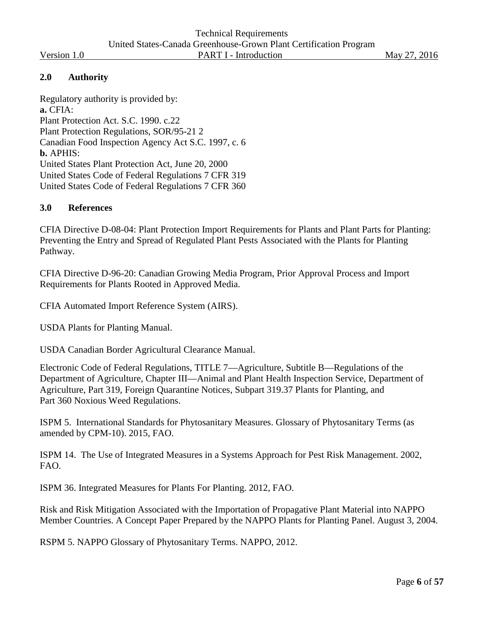#### <span id="page-5-0"></span>**2.0 Authority**

Regulatory authority is provided by: **a.** CFIA: Plant Protection Act. S.C. 1990. c.22 Plant Protection Regulations, SOR/95-21 2 Canadian Food Inspection Agency Act S.C. 1997, c. 6 **b.** APHIS: United States Plant Protection Act, June 20, 2000 United States Code of Federal Regulations 7 CFR 319 United States Code of Federal Regulations 7 CFR 360

#### <span id="page-5-1"></span>**3.0 References**

CFIA Directive D-08-04: Plant Protection Import Requirements for Plants and Plant Parts for Planting: Preventing the Entry and Spread of Regulated Plant Pests Associated with the Plants for Planting Pathway.

CFIA Directive D-96-20: Canadian Growing Media Program, Prior Approval Process and Import Requirements for Plants Rooted in Approved Media.

CFIA Automated Import Reference System (AIRS).

USDA Plants for Planting Manual.

USDA Canadian Border Agricultural Clearance Manual.

Electronic Code of Federal Regulations, TITLE 7—Agriculture, Subtitle B—Regulations of the Department of Agriculture, Chapter III—Animal and Plant Health Inspection Service, Department of Agriculture, Part 319, Foreign Quarantine Notices, Subpart 319.37 Plants for Planting, and Part 360 Noxious Weed Regulations.

ISPM 5. International Standards for Phytosanitary Measures. Glossary of Phytosanitary Terms (as amended by CPM-10). 2015, FAO.

ISPM 14. The Use of Integrated Measures in a Systems Approach for Pest Risk Management. 2002, FAO.

ISPM 36. Integrated Measures for Plants For Planting. 2012, FAO.

Risk and Risk Mitigation Associated with the Importation of Propagative Plant Material into NAPPO Member Countries. A Concept Paper Prepared by the NAPPO Plants for Planting Panel. August 3, 2004.

RSPM 5. NAPPO Glossary of Phytosanitary Terms. NAPPO, 2012.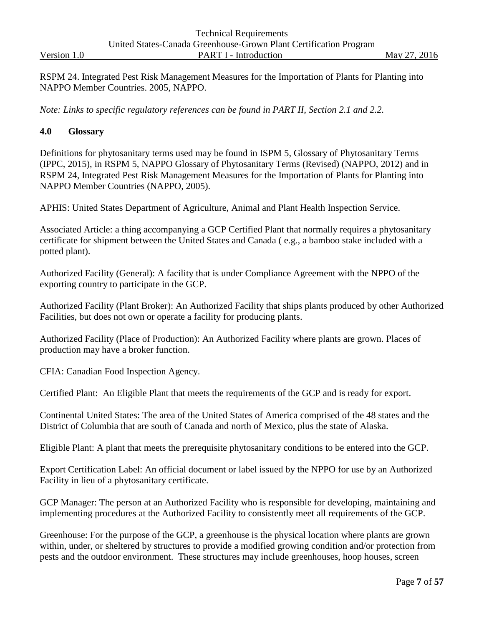|             | <b>Technical Requirements</b>                                     |              |
|-------------|-------------------------------------------------------------------|--------------|
|             | United States-Canada Greenhouse-Grown Plant Certification Program |              |
| Version 1.0 | <b>PART I - Introduction</b>                                      | May 27, 2016 |

RSPM 24. Integrated Pest Risk Management Measures for the Importation of Plants for Planting into NAPPO Member Countries. 2005, NAPPO.

*Note: Links to specific regulatory references can be found in PART II, Section 2.1 and 2.2.*

#### <span id="page-6-0"></span>**4.0 Glossary**

Definitions for phytosanitary terms used may be found in ISPM 5, Glossary of Phytosanitary Terms (IPPC, 2015), in RSPM 5, NAPPO Glossary of Phytosanitary Terms (Revised) (NAPPO, 2012) and in RSPM 24, Integrated Pest Risk Management Measures for the Importation of Plants for Planting into NAPPO Member Countries (NAPPO, 2005).

APHIS: United States Department of Agriculture, Animal and Plant Health Inspection Service.

Associated Article: a thing accompanying a GCP Certified Plant that normally requires a phytosanitary certificate for shipment between the United States and Canada ( e.g., a bamboo stake included with a potted plant).

Authorized Facility (General): A facility that is under Compliance Agreement with the NPPO of the exporting country to participate in the GCP.

Authorized Facility (Plant Broker): An Authorized Facility that ships plants produced by other Authorized Facilities, but does not own or operate a facility for producing plants.

Authorized Facility (Place of Production): An Authorized Facility where plants are grown. Places of production may have a broker function.

CFIA: Canadian Food Inspection Agency.

Certified Plant: An Eligible Plant that meets the requirements of the GCP and is ready for export.

Continental United States: The area of the United States of America comprised of the 48 states and the District of Columbia that are south of Canada and north of Mexico, plus the state of Alaska.

Eligible Plant: A plant that meets the prerequisite phytosanitary conditions to be entered into the GCP.

Export Certification Label: An official document or label issued by the NPPO for use by an Authorized Facility in lieu of a phytosanitary certificate.

GCP Manager: The person at an Authorized Facility who is responsible for developing, maintaining and implementing procedures at the Authorized Facility to consistently meet all requirements of the GCP.

Greenhouse: For the purpose of the GCP, a greenhouse is the physical location where plants are grown within, under, or sheltered by structures to provide a modified growing condition and/or protection from pests and the outdoor environment. These structures may include greenhouses, hoop houses, screen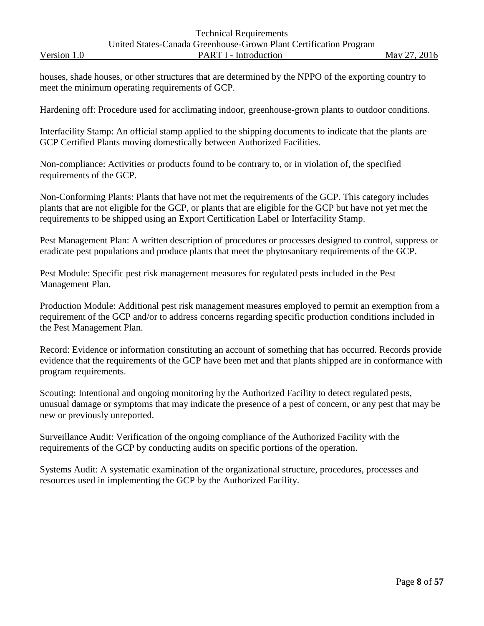houses, shade houses, or other structures that are determined by the NPPO of the exporting country to meet the minimum operating requirements of GCP.

Hardening off: Procedure used for acclimating indoor, greenhouse-grown plants to outdoor conditions.

Interfacility Stamp: An official stamp applied to the shipping documents to indicate that the plants are GCP Certified Plants moving domestically between Authorized Facilities.

Non-compliance: Activities or products found to be contrary to, or in violation of, the specified requirements of the GCP.

Non-Conforming Plants: Plants that have not met the requirements of the GCP. This category includes plants that are not eligible for the GCP, or plants that are eligible for the GCP but have not yet met the requirements to be shipped using an Export Certification Label or Interfacility Stamp.

Pest Management Plan: A written description of procedures or processes designed to control, suppress or eradicate pest populations and produce plants that meet the phytosanitary requirements of the GCP.

Pest Module: Specific pest risk management measures for regulated pests included in the Pest Management Plan.

Production Module: Additional pest risk management measures employed to permit an exemption from a requirement of the GCP and/or to address concerns regarding specific production conditions included in the Pest Management Plan.

Record: Evidence or information constituting an account of something that has occurred. Records provide evidence that the requirements of the GCP have been met and that plants shipped are in conformance with program requirements.

Scouting: Intentional and ongoing monitoring by the Authorized Facility to detect regulated pests, unusual damage or symptoms that may indicate the presence of a pest of concern, or any pest that may be new or previously unreported.

Surveillance Audit: Verification of the ongoing compliance of the Authorized Facility with the requirements of the GCP by conducting audits on specific portions of the operation.

Systems Audit: A systematic examination of the organizational structure, procedures, processes and resources used in implementing the GCP by the Authorized Facility.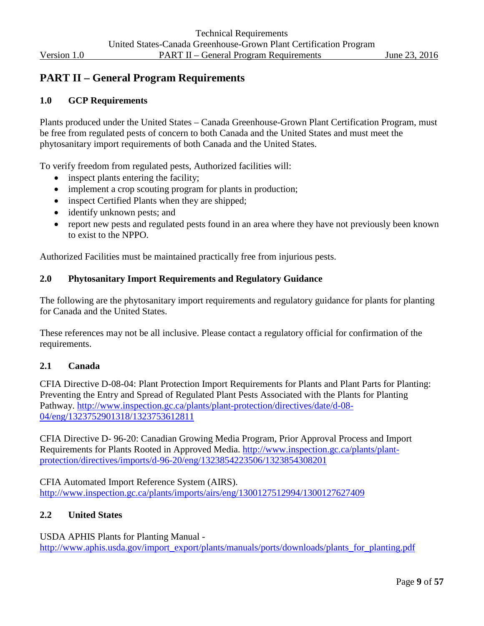## <span id="page-8-0"></span>**PART II – General Program Requirements**

#### <span id="page-8-1"></span>**1.0 GCP Requirements**

Plants produced under the United States – Canada Greenhouse-Grown Plant Certification Program, must be free from regulated pests of concern to both Canada and the United States and must meet the phytosanitary import requirements of both Canada and the United States.

To verify freedom from regulated pests, Authorized facilities will:

- inspect plants entering the facility;
- implement a crop scouting program for plants in production;
- inspect Certified Plants when they are shipped;
- identify unknown pests; and
- report new pests and regulated pests found in an area where they have not previously been known to exist to the NPPO.

Authorized Facilities must be maintained practically free from injurious pests.

#### <span id="page-8-2"></span>**2.0 Phytosanitary Import Requirements and Regulatory Guidance**

The following are the phytosanitary import requirements and regulatory guidance for plants for planting for Canada and the United States.

These references may not be all inclusive. Please contact a regulatory official for confirmation of the requirements.

#### <span id="page-8-3"></span>**2.1 Canada**

CFIA Directive D-08-04: Plant Protection Import Requirements for Plants and Plant Parts for Planting: Preventing the Entry and Spread of Regulated Plant Pests Associated with the Plants for Planting Pathway. [http://www.inspection.gc.ca/plants/plant-protection/directives/date/d-08-](http://www.inspection.gc.ca/plants/plant-protection/directives/date/d-08-04/eng/1323752901318/1323753612811) [04/eng/1323752901318/1323753612811](http://www.inspection.gc.ca/plants/plant-protection/directives/date/d-08-04/eng/1323752901318/1323753612811)

CFIA Directive D- 96-20: Canadian Growing Media Program, Prior Approval Process and Import Requirements for Plants Rooted in Approved Media. [http://www.inspection.gc.ca/plants/plant](http://www.inspection.gc.ca/plants/plant-protection/directives/imports/d-96-20/eng/1323854223506/1323854308201)[protection/directives/imports/d-96-20/eng/1323854223506/1323854308201](http://www.inspection.gc.ca/plants/plant-protection/directives/imports/d-96-20/eng/1323854223506/1323854308201)

CFIA Automated Import Reference System (AIRS). <http://www.inspection.gc.ca/plants/imports/airs/eng/1300127512994/1300127627409>

#### <span id="page-8-4"></span>**2.2 United States**

USDA APHIS Plants for Planting Manual [http://www.aphis.usda.gov/import\\_export/plants/manuals/ports/downloads/plants\\_for\\_planting.pdf](http://www.aphis.usda.gov/import_export/plants/manuals/ports/downloads/plants_for_planting.pdf)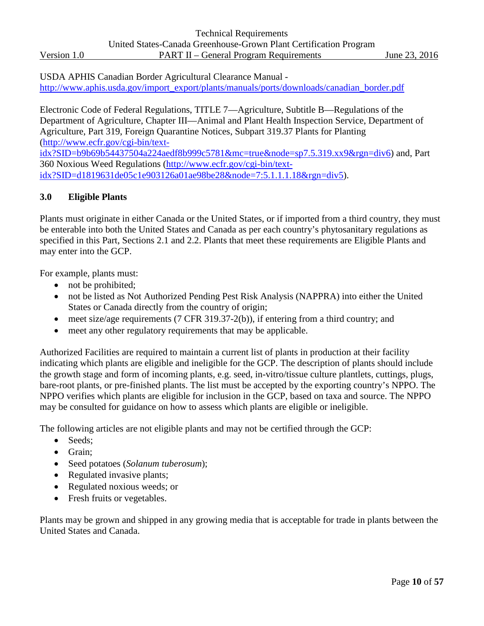USDA APHIS Canadian Border Agricultural Clearance Manual [http://www.aphis.usda.gov/import\\_export/plants/manuals/ports/downloads/canadian\\_border.pdf](http://www.aphis.usda.gov/import_export/plants/manuals/ports/downloads/canadian_border.pdf)

Electronic Code of Federal Regulations, TITLE 7—Agriculture, Subtitle B—Regulations of the Department of Agriculture, Chapter III—Animal and Plant Health Inspection Service, Department of Agriculture, Part 319, Foreign Quarantine Notices, Subpart 319.37 Plants for Planting [\(http://www.ecfr.gov/cgi-bin/text-](http://www.ecfr.gov/cgi-bin/text-idx?SID=b9b69b54437504a224aedf8b999c5781&mc=true&node=sp7.5.319.xx9&rgn=div6)

[idx?SID=b9b69b54437504a224aedf8b999c5781&mc=true&node=sp7.5.319.xx9&rgn=div6\)](http://www.ecfr.gov/cgi-bin/text-idx?SID=b9b69b54437504a224aedf8b999c5781&mc=true&node=sp7.5.319.xx9&rgn=div6) and, Part 360 Noxious Weed Regulations [\(http://www.ecfr.gov/cgi-bin/text](http://www.ecfr.gov/cgi-bin/text-idx?SID=d1819631de05c1e903126a01ae98be28&node=7:5.1.1.1.18&rgn=div5)[idx?SID=d1819631de05c1e903126a01ae98be28&node=7:5.1.1.1.18&rgn=div5\)](http://www.ecfr.gov/cgi-bin/text-idx?SID=d1819631de05c1e903126a01ae98be28&node=7:5.1.1.1.18&rgn=div5).

#### <span id="page-9-0"></span>**3.0 Eligible Plants**

Plants must originate in either Canada or the United States, or if imported from a third country, they must be enterable into both the United States and Canada as per each country's phytosanitary regulations as specified in this Part, Sections 2.1 and 2.2. Plants that meet these requirements are Eligible Plants and may enter into the GCP.

For example, plants must:

- not be prohibited;
- not be listed as Not Authorized Pending Pest Risk Analysis (NAPPRA) into either the United States or Canada directly from the country of origin;
- meet size/age requirements (7 CFR 319.37-2(b)), if entering from a third country; and
- meet any other regulatory requirements that may be applicable.

Authorized Facilities are required to maintain a current list of plants in production at their facility indicating which plants are eligible and ineligible for the GCP. The description of plants should include the growth stage and form of incoming plants, e.g. seed, in-vitro/tissue culture plantlets, cuttings, plugs, bare-root plants, or pre-finished plants. The list must be accepted by the exporting country's NPPO. The NPPO verifies which plants are eligible for inclusion in the GCP, based on taxa and source. The NPPO may be consulted for guidance on how to assess which plants are eligible or ineligible.

The following articles are not eligible plants and may not be certified through the GCP:

- Seeds:
- Grain;
- Seed potatoes (*Solanum tuberosum*);
- Regulated invasive plants;
- Regulated noxious weeds; or
- Fresh fruits or vegetables.

Plants may be grown and shipped in any growing media that is acceptable for trade in plants between the United States and Canada.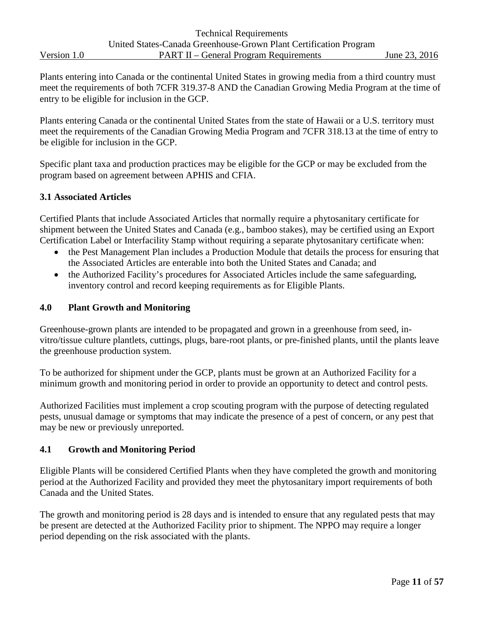Plants entering into Canada or the continental United States in growing media from a third country must meet the requirements of both 7CFR 319.37-8 AND the Canadian Growing Media Program at the time of entry to be eligible for inclusion in the GCP.

Plants entering Canada or the continental United States from the state of Hawaii or a U.S. territory must meet the requirements of the Canadian Growing Media Program and 7CFR 318.13 at the time of entry to be eligible for inclusion in the GCP.

Specific plant taxa and production practices may be eligible for the GCP or may be excluded from the program based on agreement between APHIS and CFIA.

#### <span id="page-10-0"></span>**3.1 Associated Articles**

Certified Plants that include Associated Articles that normally require a phytosanitary certificate for shipment between the United States and Canada (e.g., bamboo stakes), may be certified using an Export Certification Label or Interfacility Stamp without requiring a separate phytosanitary certificate when:

- the Pest Management Plan includes a Production Module that details the process for ensuring that the Associated Articles are enterable into both the United States and Canada; and
- the Authorized Facility's procedures for Associated Articles include the same safeguarding, inventory control and record keeping requirements as for Eligible Plants.

#### <span id="page-10-1"></span>**4.0 Plant Growth and Monitoring**

Greenhouse-grown plants are intended to be propagated and grown in a greenhouse from seed, invitro/tissue culture plantlets, cuttings, plugs, bare-root plants, or pre-finished plants, until the plants leave the greenhouse production system.

To be authorized for shipment under the GCP, plants must be grown at an Authorized Facility for a minimum growth and monitoring period in order to provide an opportunity to detect and control pests.

Authorized Facilities must implement a crop scouting program with the purpose of detecting regulated pests, unusual damage or symptoms that may indicate the presence of a pest of concern, or any pest that may be new or previously unreported.

#### <span id="page-10-2"></span>**4.1 Growth and Monitoring Period**

Eligible Plants will be considered Certified Plants when they have completed the growth and monitoring period at the Authorized Facility and provided they meet the phytosanitary import requirements of both Canada and the United States.

The growth and monitoring period is 28 days and is intended to ensure that any regulated pests that may be present are detected at the Authorized Facility prior to shipment. The NPPO may require a longer period depending on the risk associated with the plants.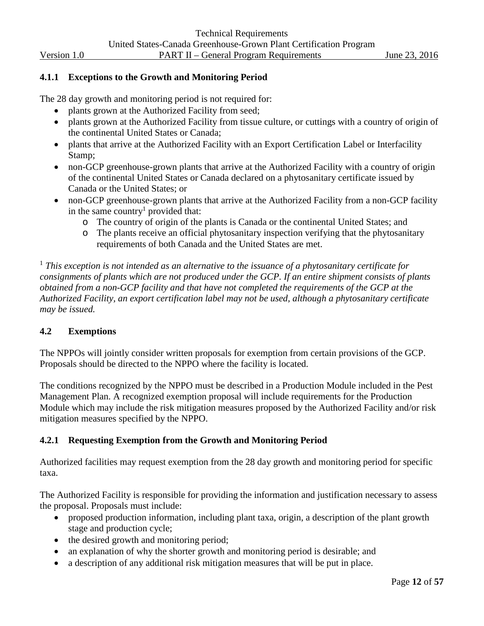#### **4.1.1 Exceptions to the Growth and Monitoring Period**

The 28 day growth and monitoring period is not required for:

- plants grown at the Authorized Facility from seed;
- plants grown at the Authorized Facility from tissue culture, or cuttings with a country of origin of the continental United States or Canada;
- plants that arrive at the Authorized Facility with an Export Certification Label or Interfacility Stamp;
- non-GCP greenhouse-grown plants that arrive at the Authorized Facility with a country of origin of the continental United States or Canada declared on a phytosanitary certificate issued by Canada or the United States; or
- non-GCP greenhouse-grown plants that arrive at the Authorized Facility from a non-GCP facility in the same country<sup>1</sup> provided that:
	- o The country of origin of the plants is Canada or the continental United States; and
	- The plants receive an official phytosanitary inspection verifying that the phytosanitary requirements of both Canada and the United States are met.

<sup>1</sup> *This exception is not intended as an alternative to the issuance of a phytosanitary certificate for consignments of plants which are not produced under the GCP. If an entire shipment consists of plants obtained from a non-GCP facility and that have not completed the requirements of the GCP at the Authorized Facility, an export certification label may not be used, although a phytosanitary certificate may be issued.*

#### <span id="page-11-0"></span>**4.2 Exemptions**

The NPPOs will jointly consider written proposals for exemption from certain provisions of the GCP. Proposals should be directed to the NPPO where the facility is located.

The conditions recognized by the NPPO must be described in a Production Module included in the Pest Management Plan. A recognized exemption proposal will include requirements for the Production Module which may include the risk mitigation measures proposed by the Authorized Facility and/or risk mitigation measures specified by the NPPO.

#### **4.2.1 Requesting Exemption from the Growth and Monitoring Period**

Authorized facilities may request exemption from the 28 day growth and monitoring period for specific taxa.

The Authorized Facility is responsible for providing the information and justification necessary to assess the proposal. Proposals must include:

- proposed production information, including plant taxa, origin, a description of the plant growth stage and production cycle;
- the desired growth and monitoring period;
- an explanation of why the shorter growth and monitoring period is desirable; and
- a description of any additional risk mitigation measures that will be put in place.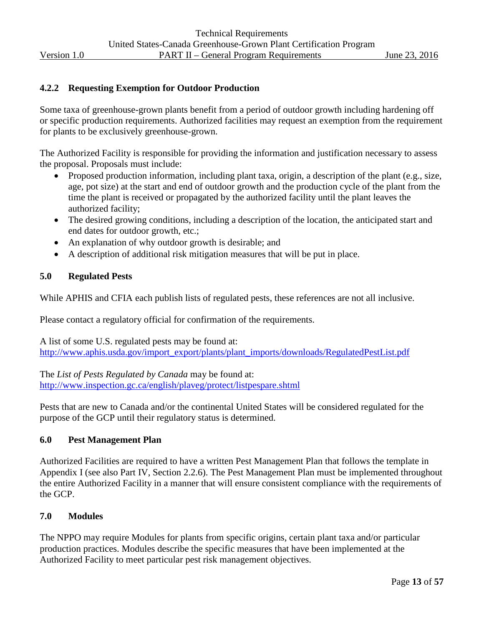#### **4.2.2 Requesting Exemption for Outdoor Production**

Some taxa of greenhouse-grown plants benefit from a period of outdoor growth including hardening off or specific production requirements. Authorized facilities may request an exemption from the requirement for plants to be exclusively greenhouse-grown.

The Authorized Facility is responsible for providing the information and justification necessary to assess the proposal. Proposals must include:

- Proposed production information, including plant taxa, origin, a description of the plant (e.g., size, age, pot size) at the start and end of outdoor growth and the production cycle of the plant from the time the plant is received or propagated by the authorized facility until the plant leaves the authorized facility;
- The desired growing conditions, including a description of the location, the anticipated start and end dates for outdoor growth, etc.;
- An explanation of why outdoor growth is desirable; and
- A description of additional risk mitigation measures that will be put in place.

#### <span id="page-12-0"></span>**5.0 Regulated Pests**

While APHIS and CFIA each publish lists of regulated pests, these references are not all inclusive.

Please contact a regulatory official for confirmation of the requirements.

A list of some U.S. regulated pests may be found at: [http://www.aphis.usda.gov/import\\_export/plants/plant\\_imports/downloads/RegulatedPestList.pdf](http://www.aphis.usda.gov/import_export/plants/plant_imports/downloads/RegulatedPestList.pdf)

The *List of Pests Regulated by Canada* may be found at: <http://www.inspection.gc.ca/english/plaveg/protect/listpespare.shtml>

Pests that are new to Canada and/or the continental United States will be considered regulated for the purpose of the GCP until their regulatory status is determined.

#### <span id="page-12-1"></span>**6.0 Pest Management Plan**

Authorized Facilities are required to have a written Pest Management Plan that follows the template in Appendix I (see also Part IV, Section 2.2.6). The Pest Management Plan must be implemented throughout the entire Authorized Facility in a manner that will ensure consistent compliance with the requirements of the GCP.

#### <span id="page-12-2"></span>**7.0 Modules**

The NPPO may require Modules for plants from specific origins, certain plant taxa and/or particular production practices. Modules describe the specific measures that have been implemented at the Authorized Facility to meet particular pest risk management objectives.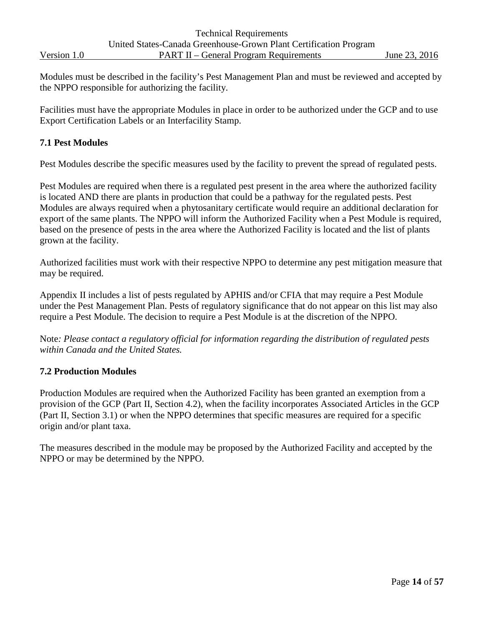Modules must be described in the facility's Pest Management Plan and must be reviewed and accepted by the NPPO responsible for authorizing the facility.

Facilities must have the appropriate Modules in place in order to be authorized under the GCP and to use Export Certification Labels or an Interfacility Stamp.

#### <span id="page-13-0"></span>**7.1 Pest Modules**

Pest Modules describe the specific measures used by the facility to prevent the spread of regulated pests.

Pest Modules are required when there is a regulated pest present in the area where the authorized facility is located AND there are plants in production that could be a pathway for the regulated pests. Pest Modules are always required when a phytosanitary certificate would require an additional declaration for export of the same plants. The NPPO will inform the Authorized Facility when a Pest Module is required, based on the presence of pests in the area where the Authorized Facility is located and the list of plants grown at the facility.

Authorized facilities must work with their respective NPPO to determine any pest mitigation measure that may be required.

Appendix II includes a list of pests regulated by APHIS and/or CFIA that may require a Pest Module under the Pest Management Plan. Pests of regulatory significance that do not appear on this list may also require a Pest Module. The decision to require a Pest Module is at the discretion of the NPPO.

Note*: Please contact a regulatory official for information regarding the distribution of regulated pests within Canada and the United States.*

#### <span id="page-13-1"></span>**7.2 Production Modules**

Production Modules are required when the Authorized Facility has been granted an exemption from a provision of the GCP (Part II, Section 4.2), when the facility incorporates Associated Articles in the GCP (Part II, Section 3.1) or when the NPPO determines that specific measures are required for a specific origin and/or plant taxa.

The measures described in the module may be proposed by the Authorized Facility and accepted by the NPPO or may be determined by the NPPO.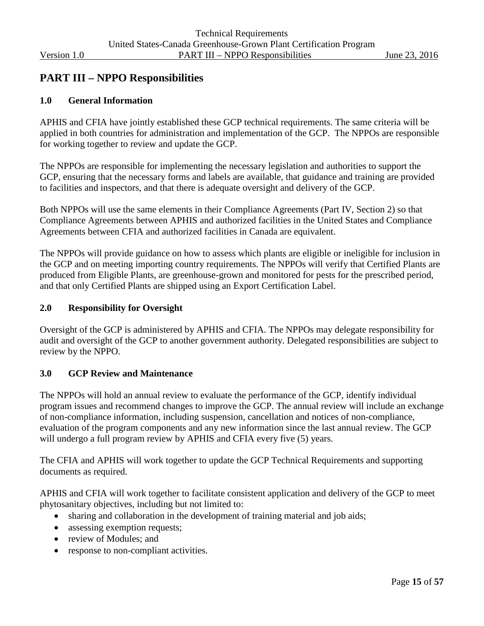## <span id="page-14-0"></span>**PART III – NPPO Responsibilities**

#### <span id="page-14-1"></span>**1.0 General Information**

APHIS and CFIA have jointly established these GCP technical requirements. The same criteria will be applied in both countries for administration and implementation of the GCP. The NPPOs are responsible for working together to review and update the GCP.

The NPPOs are responsible for implementing the necessary legislation and authorities to support the GCP, ensuring that the necessary forms and labels are available, that guidance and training are provided to facilities and inspectors, and that there is adequate oversight and delivery of the GCP.

Both NPPOs will use the same elements in their Compliance Agreements (Part IV, Section 2) so that Compliance Agreements between APHIS and authorized facilities in the United States and Compliance Agreements between CFIA and authorized facilities in Canada are equivalent.

The NPPOs will provide guidance on how to assess which plants are eligible or ineligible for inclusion in the GCP and on meeting importing country requirements. The NPPOs will verify that Certified Plants are produced from Eligible Plants, are greenhouse-grown and monitored for pests for the prescribed period, and that only Certified Plants are shipped using an Export Certification Label.

#### <span id="page-14-2"></span>**2.0 Responsibility for Oversight**

Oversight of the GCP is administered by APHIS and CFIA. The NPPOs may delegate responsibility for audit and oversight of the GCP to another government authority. Delegated responsibilities are subject to review by the NPPO.

#### <span id="page-14-3"></span>**3.0 GCP Review and Maintenance**

The NPPOs will hold an annual review to evaluate the performance of the GCP, identify individual program issues and recommend changes to improve the GCP. The annual review will include an exchange of non-compliance information, including suspension, cancellation and notices of non-compliance, evaluation of the program components and any new information since the last annual review. The GCP will undergo a full program review by APHIS and CFIA every five (5) years.

The CFIA and APHIS will work together to update the GCP Technical Requirements and supporting documents as required.

APHIS and CFIA will work together to facilitate consistent application and delivery of the GCP to meet phytosanitary objectives, including but not limited to:

- sharing and collaboration in the development of training material and job aids;
- assessing exemption requests;
- review of Modules; and
- response to non-compliant activities.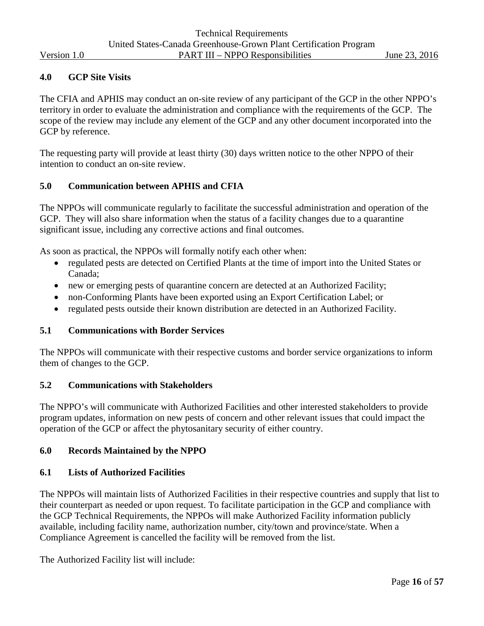#### <span id="page-15-0"></span>**4.0 GCP Site Visits**

The CFIA and APHIS may conduct an on-site review of any participant of the GCP in the other NPPO's territory in order to evaluate the administration and compliance with the requirements of the GCP. The scope of the review may include any element of the GCP and any other document incorporated into the GCP by reference.

The requesting party will provide at least thirty (30) days written notice to the other NPPO of their intention to conduct an on-site review.

#### <span id="page-15-1"></span>**5.0 Communication between APHIS and CFIA**

The NPPOs will communicate regularly to facilitate the successful administration and operation of the GCP. They will also share information when the status of a facility changes due to a quarantine significant issue, including any corrective actions and final outcomes.

As soon as practical, the NPPOs will formally notify each other when:

- regulated pests are detected on Certified Plants at the time of import into the United States or Canada;
- new or emerging pests of quarantine concern are detected at an Authorized Facility;
- non-Conforming Plants have been exported using an Export Certification Label; or
- regulated pests outside their known distribution are detected in an Authorized Facility.

#### <span id="page-15-2"></span>**5.1 Communications with Border Services**

The NPPOs will communicate with their respective customs and border service organizations to inform them of changes to the GCP.

#### <span id="page-15-3"></span>**5.2 Communications with Stakeholders**

The NPPO's will communicate with Authorized Facilities and other interested stakeholders to provide program updates, information on new pests of concern and other relevant issues that could impact the operation of the GCP or affect the phytosanitary security of either country.

#### <span id="page-15-4"></span>**6.0 Records Maintained by the NPPO**

#### <span id="page-15-5"></span>**6.1 Lists of Authorized Facilities**

The NPPOs will maintain lists of Authorized Facilities in their respective countries and supply that list to their counterpart as needed or upon request. To facilitate participation in the GCP and compliance with the GCP Technical Requirements, the NPPOs will make Authorized Facility information publicly available, including facility name, authorization number, city/town and province/state. When a Compliance Agreement is cancelled the facility will be removed from the list.

The Authorized Facility list will include: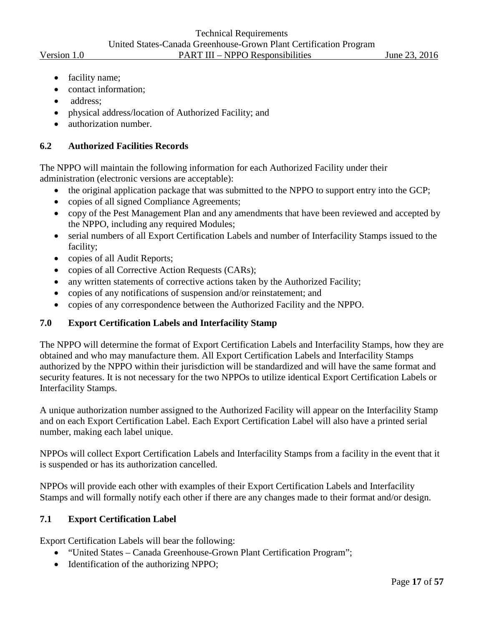- facility name;
- contact information:
- address;
- physical address/location of Authorized Facility; and
- authorization number.

#### <span id="page-16-0"></span>**6.2 Authorized Facilities Records**

The NPPO will maintain the following information for each Authorized Facility under their administration (electronic versions are acceptable):

- the original application package that was submitted to the NPPO to support entry into the GCP;
- copies of all signed Compliance Agreements;
- copy of the Pest Management Plan and any amendments that have been reviewed and accepted by the NPPO, including any required Modules;
- serial numbers of all Export Certification Labels and number of Interfacility Stamps issued to the facility;
- copies of all Audit Reports;
- copies of all Corrective Action Requests (CARs);
- any written statements of corrective actions taken by the Authorized Facility;
- copies of any notifications of suspension and/or reinstatement; and
- copies of any correspondence between the Authorized Facility and the NPPO.

#### <span id="page-16-1"></span>**7.0 Export Certification Labels and Interfacility Stamp**

The NPPO will determine the format of Export Certification Labels and Interfacility Stamps, how they are obtained and who may manufacture them. All Export Certification Labels and Interfacility Stamps authorized by the NPPO within their jurisdiction will be standardized and will have the same format and security features. It is not necessary for the two NPPOs to utilize identical Export Certification Labels or Interfacility Stamps.

A unique authorization number assigned to the Authorized Facility will appear on the Interfacility Stamp and on each Export Certification Label. Each Export Certification Label will also have a printed serial number, making each label unique.

NPPOs will collect Export Certification Labels and Interfacility Stamps from a facility in the event that it is suspended or has its authorization cancelled.

NPPOs will provide each other with examples of their Export Certification Labels and Interfacility Stamps and will formally notify each other if there are any changes made to their format and/or design.

#### <span id="page-16-2"></span>**7.1 Export Certification Label**

Export Certification Labels will bear the following:

- "United States Canada Greenhouse-Grown Plant Certification Program";
- Identification of the authorizing NPPO;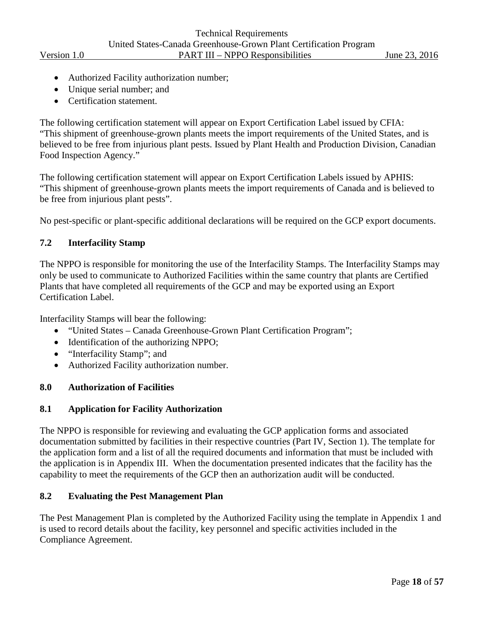- Authorized Facility authorization number;
- Unique serial number; and
- Certification statement.

The following certification statement will appear on Export Certification Label issued by CFIA: "This shipment of greenhouse-grown plants meets the import requirements of the United States, and is believed to be free from injurious plant pests. Issued by Plant Health and Production Division, Canadian Food Inspection Agency."

The following certification statement will appear on Export Certification Labels issued by APHIS: "This shipment of greenhouse-grown plants meets the import requirements of Canada and is believed to be free from injurious plant pests".

No pest-specific or plant-specific additional declarations will be required on the GCP export documents.

#### <span id="page-17-0"></span>**7.2 Interfacility Stamp**

The NPPO is responsible for monitoring the use of the Interfacility Stamps. The Interfacility Stamps may only be used to communicate to Authorized Facilities within the same country that plants are Certified Plants that have completed all requirements of the GCP and may be exported using an Export Certification Label.

Interfacility Stamps will bear the following:

- "United States Canada Greenhouse-Grown Plant Certification Program";
- Identification of the authorizing NPPO;
- "Interfacility Stamp"; and
- Authorized Facility authorization number.

#### <span id="page-17-1"></span>**8.0 Authorization of Facilities**

#### <span id="page-17-2"></span>**8.1 Application for Facility Authorization**

The NPPO is responsible for reviewing and evaluating the GCP application forms and associated documentation submitted by facilities in their respective countries (Part IV, Section 1). The template for the application form and a list of all the required documents and information that must be included with the application is in Appendix III. When the documentation presented indicates that the facility has the capability to meet the requirements of the GCP then an authorization audit will be conducted.

#### <span id="page-17-3"></span>**8.2 Evaluating the Pest Management Plan**

The Pest Management Plan is completed by the Authorized Facility using the template in Appendix 1 and is used to record details about the facility, key personnel and specific activities included in the Compliance Agreement.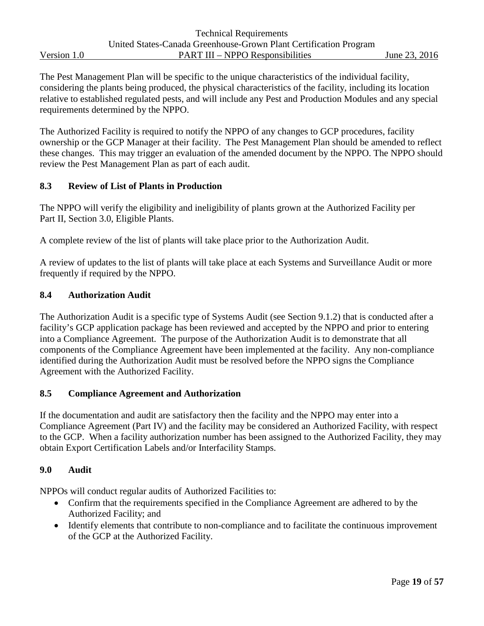The Pest Management Plan will be specific to the unique characteristics of the individual facility, considering the plants being produced, the physical characteristics of the facility, including its location relative to established regulated pests, and will include any Pest and Production Modules and any special requirements determined by the NPPO.

The Authorized Facility is required to notify the NPPO of any changes to GCP procedures, facility ownership or the GCP Manager at their facility. The Pest Management Plan should be amended to reflect these changes. This may trigger an evaluation of the amended document by the NPPO. The NPPO should review the Pest Management Plan as part of each audit.

#### <span id="page-18-0"></span>**8.3 Review of List of Plants in Production**

The NPPO will verify the eligibility and ineligibility of plants grown at the Authorized Facility per Part II, Section 3.0, Eligible Plants.

A complete review of the list of plants will take place prior to the Authorization Audit.

A review of updates to the list of plants will take place at each Systems and Surveillance Audit or more frequently if required by the NPPO.

#### <span id="page-18-1"></span>**8.4 Authorization Audit**

The Authorization Audit is a specific type of Systems Audit (see Section 9.1.2) that is conducted after a facility's GCP application package has been reviewed and accepted by the NPPO and prior to entering into a Compliance Agreement. The purpose of the Authorization Audit is to demonstrate that all components of the Compliance Agreement have been implemented at the facility. Any non-compliance identified during the Authorization Audit must be resolved before the NPPO signs the Compliance Agreement with the Authorized Facility.

#### <span id="page-18-2"></span>**8.5 Compliance Agreement and Authorization**

If the documentation and audit are satisfactory then the facility and the NPPO may enter into a Compliance Agreement (Part IV) and the facility may be considered an Authorized Facility, with respect to the GCP. When a facility authorization number has been assigned to the Authorized Facility, they may obtain Export Certification Labels and/or Interfacility Stamps.

#### <span id="page-18-3"></span>**9.0 Audit**

NPPOs will conduct regular audits of Authorized Facilities to:

- Confirm that the requirements specified in the Compliance Agreement are adhered to by the Authorized Facility; and
- Identify elements that contribute to non-compliance and to facilitate the continuous improvement of the GCP at the Authorized Facility.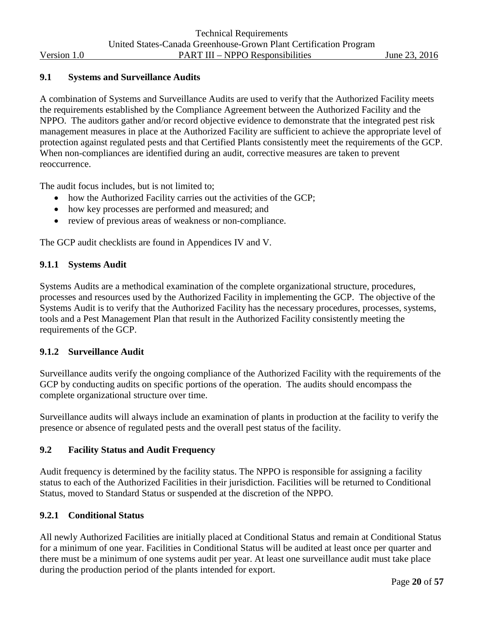#### <span id="page-19-0"></span>**9.1 Systems and Surveillance Audits**

A combination of Systems and Surveillance Audits are used to verify that the Authorized Facility meets the requirements established by the Compliance Agreement between the Authorized Facility and the NPPO. The auditors gather and/or record objective evidence to demonstrate that the integrated pest risk management measures in place at the Authorized Facility are sufficient to achieve the appropriate level of protection against regulated pests and that Certified Plants consistently meet the requirements of the GCP. When non-compliances are identified during an audit, corrective measures are taken to prevent reoccurrence.

The audit focus includes, but is not limited to;

- how the Authorized Facility carries out the activities of the GCP;
- how key processes are performed and measured; and
- review of previous areas of weakness or non-compliance.

The GCP audit checklists are found in Appendices IV and V.

#### **9.1.1 Systems Audit**

Systems Audits are a methodical examination of the complete organizational structure, procedures, processes and resources used by the Authorized Facility in implementing the GCP. The objective of the Systems Audit is to verify that the Authorized Facility has the necessary procedures, processes, systems, tools and a Pest Management Plan that result in the Authorized Facility consistently meeting the requirements of the GCP.

#### **9.1.2 Surveillance Audit**

Surveillance audits verify the ongoing compliance of the Authorized Facility with the requirements of the GCP by conducting audits on specific portions of the operation. The audits should encompass the complete organizational structure over time.

Surveillance audits will always include an examination of plants in production at the facility to verify the presence or absence of regulated pests and the overall pest status of the facility.

#### <span id="page-19-1"></span>**9.2 Facility Status and Audit Frequency**

Audit frequency is determined by the facility status. The NPPO is responsible for assigning a facility status to each of the Authorized Facilities in their jurisdiction. Facilities will be returned to Conditional Status, moved to Standard Status or suspended at the discretion of the NPPO.

#### **9.2.1 Conditional Status**

All newly Authorized Facilities are initially placed at Conditional Status and remain at Conditional Status for a minimum of one year. Facilities in Conditional Status will be audited at least once per quarter and there must be a minimum of one systems audit per year. At least one surveillance audit must take place during the production period of the plants intended for export.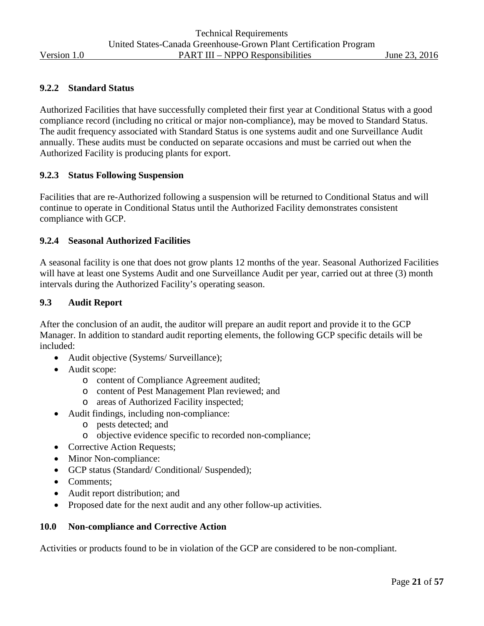#### **9.2.2 Standard Status**

Authorized Facilities that have successfully completed their first year at Conditional Status with a good compliance record (including no critical or major non-compliance), may be moved to Standard Status. The audit frequency associated with Standard Status is one systems audit and one Surveillance Audit annually. These audits must be conducted on separate occasions and must be carried out when the Authorized Facility is producing plants for export.

#### **9.2.3 Status Following Suspension**

Facilities that are re-Authorized following a suspension will be returned to Conditional Status and will continue to operate in Conditional Status until the Authorized Facility demonstrates consistent compliance with GCP.

#### **9.2.4 Seasonal Authorized Facilities**

A seasonal facility is one that does not grow plants 12 months of the year. Seasonal Authorized Facilities will have at least one Systems Audit and one Surveillance Audit per year, carried out at three (3) month intervals during the Authorized Facility's operating season.

#### <span id="page-20-0"></span>**9.3 Audit Report**

After the conclusion of an audit, the auditor will prepare an audit report and provide it to the GCP Manager. In addition to standard audit reporting elements, the following GCP specific details will be included:

- Audit objective (Systems/ Surveillance);
- Audit scope:
	- o content of Compliance Agreement audited;
	- o content of Pest Management Plan reviewed; and
	- o areas of Authorized Facility inspected;
- Audit findings, including non-compliance:
	- o pests detected; and
	- o objective evidence specific to recorded non-compliance;
- Corrective Action Requests;
- Minor Non-compliance:
- GCP status (Standard/ Conditional/ Suspended);
- Comments:
- Audit report distribution; and
- Proposed date for the next audit and any other follow-up activities.

#### <span id="page-20-1"></span>**10.0 Non-compliance and Corrective Action**

Activities or products found to be in violation of the GCP are considered to be non-compliant.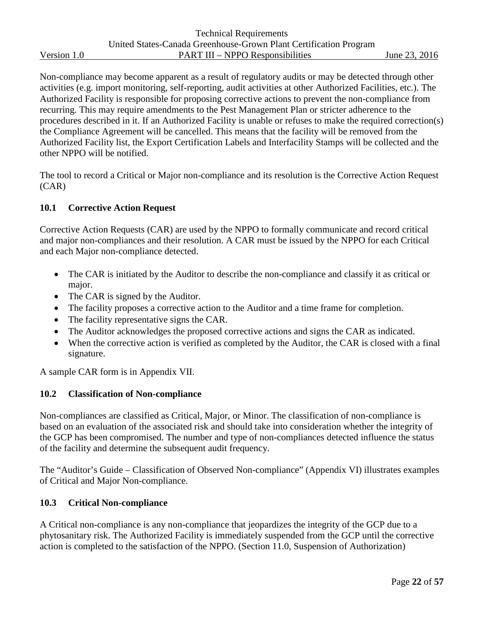Non-compliance may become apparent as a result of regulatory audits or may be detected through other activities (e.g. import monitoring, self-reporting, audit activities at other Authorized Facilities, etc.). The Authorized Facility is responsible for proposing corrective actions to prevent the non-compliance from recurring. This may require amendments to the Pest Management Plan or stricter adherence to the procedures described in it. If an Authorized Facility is unable or refuses to make the required correction(s) the Compliance Agreement will be cancelled. This means that the facility will be removed from the Authorized Facility list, the Export Certification Labels and Interfacility Stamps will be collected and the other NPPO will be notified.

The tool to record a Critical or Major non-compliance and its resolution is the Corrective Action Request (CAR)

#### <span id="page-21-0"></span>**10.1 Corrective Action Request**

Corrective Action Requests (CAR) are used by the NPPO to formally communicate and record critical and major non-compliances and their resolution. A CAR must be issued by the NPPO for each Critical and each Major non-compliance detected.

- The CAR is initiated by the Auditor to describe the non-compliance and classify it as critical or major.
- The CAR is signed by the Auditor.
- The facility proposes a corrective action to the Auditor and a time frame for completion.
- The facility representative signs the CAR.
- The Auditor acknowledges the proposed corrective actions and signs the CAR as indicated.
- When the corrective action is verified as completed by the Auditor, the CAR is closed with a final signature.

A sample CAR form is in Appendix VII.

#### <span id="page-21-1"></span>**10.2 Classification of Non-compliance**

Non-compliances are classified as Critical, Major, or Minor. The classification of non-compliance is based on an evaluation of the associated risk and should take into consideration whether the integrity of the GCP has been compromised. The number and type of non-compliances detected influence the status of the facility and determine the subsequent audit frequency.

The "Auditor's Guide – Classification of Observed Non-compliance" (Appendix VI) illustrates examples of Critical and Major Non-compliance.

#### <span id="page-21-2"></span>**10.3 Critical Non-compliance**

A Critical non-compliance is any non-compliance that jeopardizes the integrity of the GCP due to a phytosanitary risk. The Authorized Facility is immediately suspended from the GCP until the corrective action is completed to the satisfaction of the NPPO. (Section 11.0, Suspension of Authorization)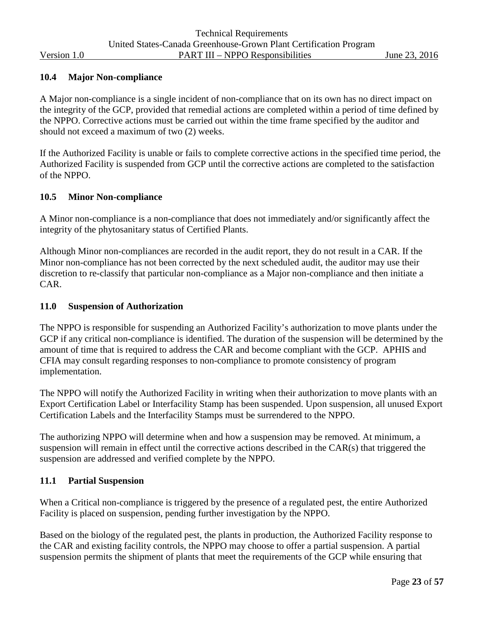#### <span id="page-22-0"></span>**10.4 Major Non-compliance**

A Major non-compliance is a single incident of non-compliance that on its own has no direct impact on the integrity of the GCP, provided that remedial actions are completed within a period of time defined by the NPPO. Corrective actions must be carried out within the time frame specified by the auditor and should not exceed a maximum of two (2) weeks.

If the Authorized Facility is unable or fails to complete corrective actions in the specified time period, the Authorized Facility is suspended from GCP until the corrective actions are completed to the satisfaction of the NPPO.

#### <span id="page-22-1"></span>**10.5 Minor Non-compliance**

A Minor non-compliance is a non-compliance that does not immediately and/or significantly affect the integrity of the phytosanitary status of Certified Plants.

Although Minor non-compliances are recorded in the audit report, they do not result in a CAR. If the Minor non-compliance has not been corrected by the next scheduled audit, the auditor may use their discretion to re-classify that particular non-compliance as a Major non-compliance and then initiate a CAR.

#### <span id="page-22-2"></span>**11.0 Suspension of Authorization**

The NPPO is responsible for suspending an Authorized Facility's authorization to move plants under the GCP if any critical non-compliance is identified. The duration of the suspension will be determined by the amount of time that is required to address the CAR and become compliant with the GCP. APHIS and CFIA may consult regarding responses to non-compliance to promote consistency of program implementation.

The NPPO will notify the Authorized Facility in writing when their authorization to move plants with an Export Certification Label or Interfacility Stamp has been suspended. Upon suspension, all unused Export Certification Labels and the Interfacility Stamps must be surrendered to the NPPO.

The authorizing NPPO will determine when and how a suspension may be removed. At minimum, a suspension will remain in effect until the corrective actions described in the CAR(s) that triggered the suspension are addressed and verified complete by the NPPO.

#### <span id="page-22-3"></span>**11.1 Partial Suspension**

When a Critical non-compliance is triggered by the presence of a regulated pest, the entire Authorized Facility is placed on suspension, pending further investigation by the NPPO.

Based on the biology of the regulated pest, the plants in production, the Authorized Facility response to the CAR and existing facility controls, the NPPO may choose to offer a partial suspension. A partial suspension permits the shipment of plants that meet the requirements of the GCP while ensuring that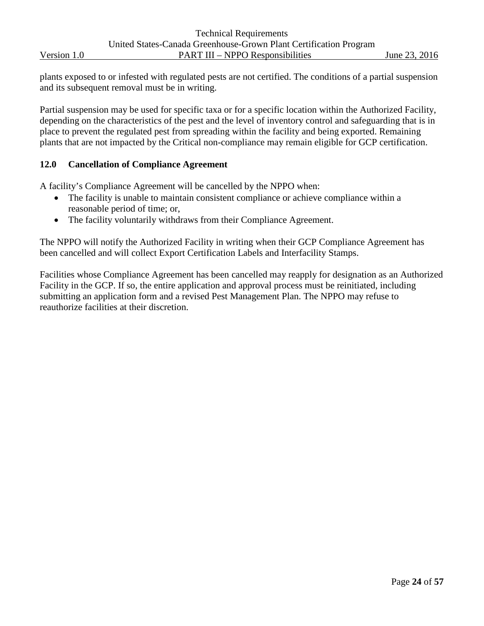plants exposed to or infested with regulated pests are not certified. The conditions of a partial suspension and its subsequent removal must be in writing.

Partial suspension may be used for specific taxa or for a specific location within the Authorized Facility, depending on the characteristics of the pest and the level of inventory control and safeguarding that is in place to prevent the regulated pest from spreading within the facility and being exported. Remaining plants that are not impacted by the Critical non-compliance may remain eligible for GCP certification.

#### <span id="page-23-0"></span>**12.0 Cancellation of Compliance Agreement**

A facility's Compliance Agreement will be cancelled by the NPPO when:

- The facility is unable to maintain consistent compliance or achieve compliance within a reasonable period of time; or,
- The facility voluntarily withdraws from their Compliance Agreement.

The NPPO will notify the Authorized Facility in writing when their GCP Compliance Agreement has been cancelled and will collect Export Certification Labels and Interfacility Stamps.

Facilities whose Compliance Agreement has been cancelled may reapply for designation as an Authorized Facility in the GCP. If so, the entire application and approval process must be reinitiated, including submitting an application form and a revised Pest Management Plan. The NPPO may refuse to reauthorize facilities at their discretion.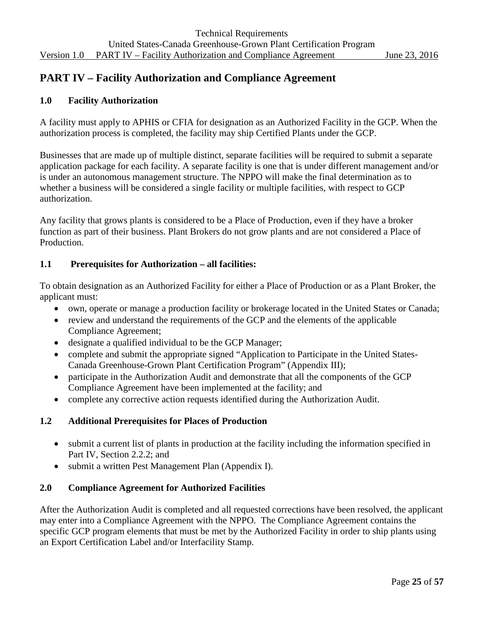## <span id="page-24-0"></span>**PART IV – Facility Authorization and Compliance Agreement**

#### <span id="page-24-1"></span>**1.0 Facility Authorization**

A facility must apply to APHIS or CFIA for designation as an Authorized Facility in the GCP. When the authorization process is completed, the facility may ship Certified Plants under the GCP.

Businesses that are made up of multiple distinct, separate facilities will be required to submit a separate application package for each facility. A separate facility is one that is under different management and/or is under an autonomous management structure. The NPPO will make the final determination as to whether a business will be considered a single facility or multiple facilities, with respect to GCP authorization.

Any facility that grows plants is considered to be a Place of Production, even if they have a broker function as part of their business. Plant Brokers do not grow plants and are not considered a Place of Production.

#### <span id="page-24-2"></span>**1.1 Prerequisites for Authorization – all facilities:**

To obtain designation as an Authorized Facility for either a Place of Production or as a Plant Broker, the applicant must:

- own, operate or manage a production facility or brokerage located in the United States or Canada;
- review and understand the requirements of the GCP and the elements of the applicable Compliance Agreement;
- designate a qualified individual to be the GCP Manager;
- complete and submit the appropriate signed "Application to Participate in the United States-Canada Greenhouse-Grown Plant Certification Program" (Appendix III);
- participate in the Authorization Audit and demonstrate that all the components of the GCP Compliance Agreement have been implemented at the facility; and
- complete any corrective action requests identified during the Authorization Audit.

#### <span id="page-24-3"></span>**1.2 Additional Prerequisites for Places of Production**

- submit a current list of plants in production at the facility including the information specified in Part IV, Section 2.2.2; and
- submit a written Pest Management Plan (Appendix I).

#### <span id="page-24-4"></span>**2.0 Compliance Agreement for Authorized Facilities**

After the Authorization Audit is completed and all requested corrections have been resolved, the applicant may enter into a Compliance Agreement with the NPPO. The Compliance Agreement contains the specific GCP program elements that must be met by the Authorized Facility in order to ship plants using an Export Certification Label and/or Interfacility Stamp.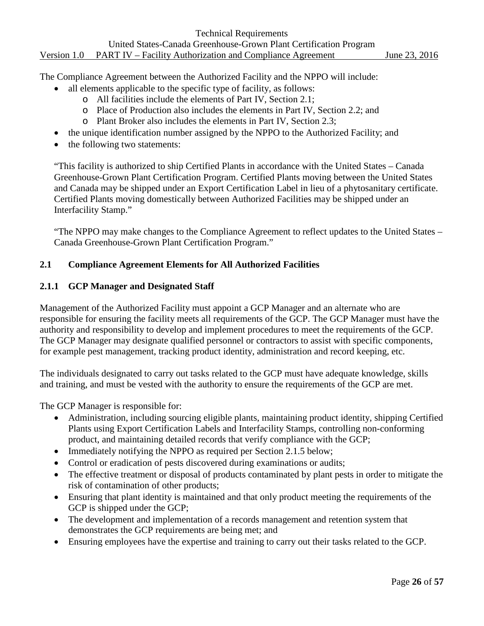The Compliance Agreement between the Authorized Facility and the NPPO will include:

- all elements applicable to the specific type of facility, as follows:
	- o All facilities include the elements of Part IV, Section 2.1;
	- o Place of Production also includes the elements in Part IV, Section 2.2; and
	- o Plant Broker also includes the elements in Part IV, Section 2.3;
- the unique identification number assigned by the NPPO to the Authorized Facility; and
- the following two statements:

"This facility is authorized to ship Certified Plants in accordance with the United States – Canada Greenhouse-Grown Plant Certification Program. Certified Plants moving between the United States and Canada may be shipped under an Export Certification Label in lieu of a phytosanitary certificate. Certified Plants moving domestically between Authorized Facilities may be shipped under an Interfacility Stamp."

"The NPPO may make changes to the Compliance Agreement to reflect updates to the United States – Canada Greenhouse-Grown Plant Certification Program."

#### <span id="page-25-0"></span>**2.1 Compliance Agreement Elements for All Authorized Facilities**

#### **2.1.1 GCP Manager and Designated Staff**

Management of the Authorized Facility must appoint a GCP Manager and an alternate who are responsible for ensuring the facility meets all requirements of the GCP. The GCP Manager must have the authority and responsibility to develop and implement procedures to meet the requirements of the GCP. The GCP Manager may designate qualified personnel or contractors to assist with specific components, for example pest management, tracking product identity, administration and record keeping, etc.

The individuals designated to carry out tasks related to the GCP must have adequate knowledge, skills and training, and must be vested with the authority to ensure the requirements of the GCP are met.

The GCP Manager is responsible for:

- Administration, including sourcing eligible plants, maintaining product identity, shipping Certified Plants using Export Certification Labels and Interfacility Stamps, controlling non-conforming product, and maintaining detailed records that verify compliance with the GCP;
- Immediately notifying the NPPO as required per Section 2.1.5 below;
- Control or eradication of pests discovered during examinations or audits;
- The effective treatment or disposal of products contaminated by plant pests in order to mitigate the risk of contamination of other products;
- Ensuring that plant identity is maintained and that only product meeting the requirements of the GCP is shipped under the GCP;
- The development and implementation of a records management and retention system that demonstrates the GCP requirements are being met; and
- Ensuring employees have the expertise and training to carry out their tasks related to the GCP.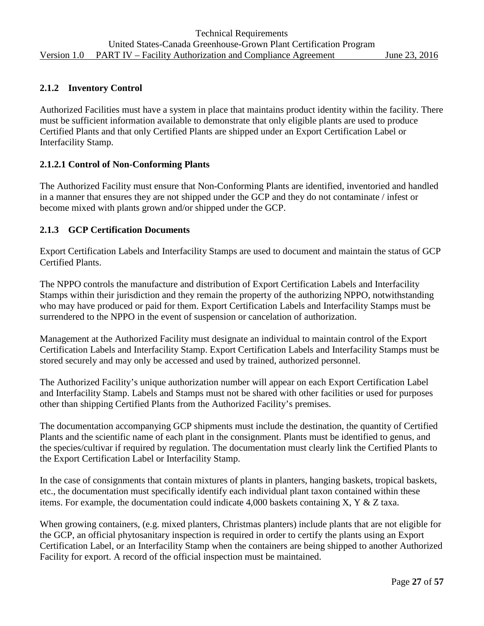#### **2.1.2 Inventory Control**

Authorized Facilities must have a system in place that maintains product identity within the facility. There must be sufficient information available to demonstrate that only eligible plants are used to produce Certified Plants and that only Certified Plants are shipped under an Export Certification Label or Interfacility Stamp.

#### **2.1.2.1 Control of Non-Conforming Plants**

The Authorized Facility must ensure that Non-Conforming Plants are identified, inventoried and handled in a manner that ensures they are not shipped under the GCP and they do not contaminate / infest or become mixed with plants grown and/or shipped under the GCP.

#### **2.1.3 GCP Certification Documents**

Export Certification Labels and Interfacility Stamps are used to document and maintain the status of GCP Certified Plants.

The NPPO controls the manufacture and distribution of Export Certification Labels and Interfacility Stamps within their jurisdiction and they remain the property of the authorizing NPPO, notwithstanding who may have produced or paid for them. Export Certification Labels and Interfacility Stamps must be surrendered to the NPPO in the event of suspension or cancelation of authorization.

Management at the Authorized Facility must designate an individual to maintain control of the Export Certification Labels and Interfacility Stamp. Export Certification Labels and Interfacility Stamps must be stored securely and may only be accessed and used by trained, authorized personnel.

The Authorized Facility's unique authorization number will appear on each Export Certification Label and Interfacility Stamp. Labels and Stamps must not be shared with other facilities or used for purposes other than shipping Certified Plants from the Authorized Facility's premises.

The documentation accompanying GCP shipments must include the destination, the quantity of Certified Plants and the scientific name of each plant in the consignment. Plants must be identified to genus, and the species/cultivar if required by regulation. The documentation must clearly link the Certified Plants to the Export Certification Label or Interfacility Stamp.

In the case of consignments that contain mixtures of plants in planters, hanging baskets, tropical baskets, etc., the documentation must specifically identify each individual plant taxon contained within these items. For example, the documentation could indicate 4,000 baskets containing X, Y & Z taxa.

When growing containers, (e.g. mixed planters, Christmas planters) include plants that are not eligible for the GCP, an official phytosanitary inspection is required in order to certify the plants using an Export Certification Label, or an Interfacility Stamp when the containers are being shipped to another Authorized Facility for export. A record of the official inspection must be maintained.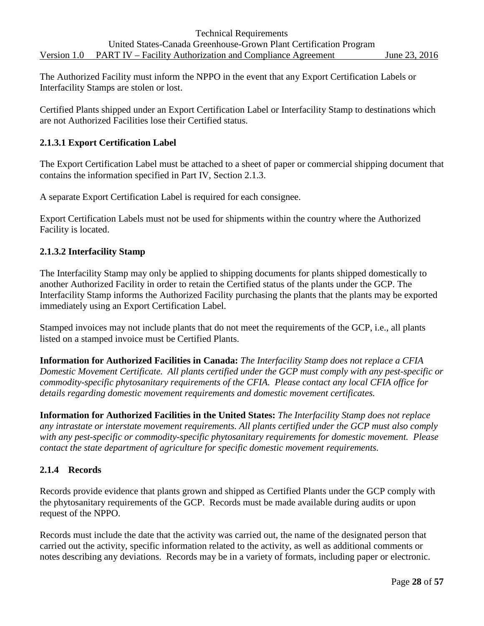The Authorized Facility must inform the NPPO in the event that any Export Certification Labels or Interfacility Stamps are stolen or lost.

Certified Plants shipped under an Export Certification Label or Interfacility Stamp to destinations which are not Authorized Facilities lose their Certified status.

#### **2.1.3.1 Export Certification Label**

The Export Certification Label must be attached to a sheet of paper or commercial shipping document that contains the information specified in Part IV, Section 2.1.3.

A separate Export Certification Label is required for each consignee.

Export Certification Labels must not be used for shipments within the country where the Authorized Facility is located.

#### **2.1.3.2 Interfacility Stamp**

The Interfacility Stamp may only be applied to shipping documents for plants shipped domestically to another Authorized Facility in order to retain the Certified status of the plants under the GCP. The Interfacility Stamp informs the Authorized Facility purchasing the plants that the plants may be exported immediately using an Export Certification Label.

Stamped invoices may not include plants that do not meet the requirements of the GCP, i.e., all plants listed on a stamped invoice must be Certified Plants.

**Information for Authorized Facilities in Canada:** *The Interfacility Stamp does not replace a CFIA Domestic Movement Certificate. All plants certified under the GCP must comply with any pest-specific or commodity-specific phytosanitary requirements of the CFIA. Please contact any local CFIA office for details regarding domestic movement requirements and domestic movement certificates.*

**Information for Authorized Facilities in the United States:** *The Interfacility Stamp does not replace any intrastate or interstate movement requirements. All plants certified under the GCP must also comply with any pest-specific or commodity-specific phytosanitary requirements for domestic movement. Please contact the state department of agriculture for specific domestic movement requirements.*

#### **2.1.4 Records**

Records provide evidence that plants grown and shipped as Certified Plants under the GCP comply with the phytosanitary requirements of the GCP. Records must be made available during audits or upon request of the NPPO.

Records must include the date that the activity was carried out, the name of the designated person that carried out the activity, specific information related to the activity, as well as additional comments or notes describing any deviations. Records may be in a variety of formats, including paper or electronic.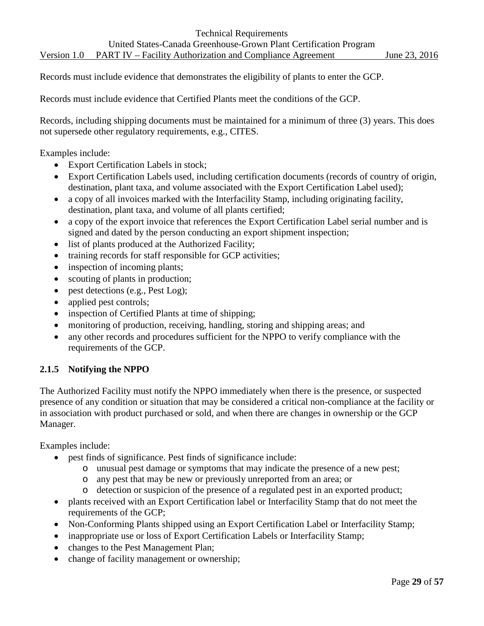Records must include evidence that demonstrates the eligibility of plants to enter the GCP.

Records must include evidence that Certified Plants meet the conditions of the GCP.

Records, including shipping documents must be maintained for a minimum of three (3) years. This does not supersede other regulatory requirements, e.g., CITES.

Examples include:

- Export Certification Labels in stock;
- Export Certification Labels used, including certification documents (records of country of origin, destination, plant taxa, and volume associated with the Export Certification Label used);
- a copy of all invoices marked with the Interfacility Stamp, including originating facility, destination, plant taxa, and volume of all plants certified;
- a copy of the export invoice that references the Export Certification Label serial number and is signed and dated by the person conducting an export shipment inspection;
- list of plants produced at the Authorized Facility;
- training records for staff responsible for GCP activities;
- inspection of incoming plants;
- scouting of plants in production;
- pest detections (e.g., Pest Log);
- applied pest controls;
- inspection of Certified Plants at time of shipping;
- monitoring of production, receiving, handling, storing and shipping areas; and
- any other records and procedures sufficient for the NPPO to verify compliance with the requirements of the GCP.

#### **2.1.5 Notifying the NPPO**

The Authorized Facility must notify the NPPO immediately when there is the presence, or suspected presence of any condition or situation that may be considered a critical non-compliance at the facility or in association with product purchased or sold, and when there are changes in ownership or the GCP Manager.

Examples include:

- pest finds of significance. Pest finds of significance include:
	- o unusual pest damage or symptoms that may indicate the presence of a new pest;
	- o any pest that may be new or previously unreported from an area; or
	- o detection or suspicion of the presence of a regulated pest in an exported product;
- plants received with an Export Certification label or Interfacility Stamp that do not meet the requirements of the GCP;
- Non-Conforming Plants shipped using an Export Certification Label or Interfacility Stamp;
- inappropriate use or loss of Export Certification Labels or Interfacility Stamp;
- changes to the Pest Management Plan;
- change of facility management or ownership;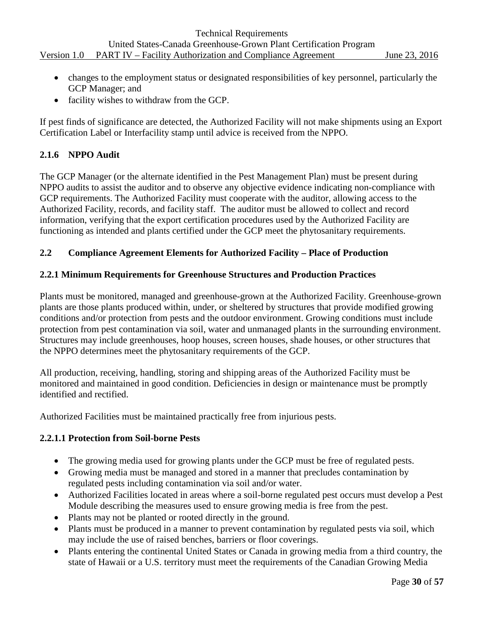- changes to the employment status or designated responsibilities of key personnel, particularly the GCP Manager; and
- facility wishes to withdraw from the GCP.

If pest finds of significance are detected, the Authorized Facility will not make shipments using an Export Certification Label or Interfacility stamp until advice is received from the NPPO.

#### **2.1.6 NPPO Audit**

The GCP Manager (or the alternate identified in the Pest Management Plan) must be present during NPPO audits to assist the auditor and to observe any objective evidence indicating non-compliance with GCP requirements. The Authorized Facility must cooperate with the auditor, allowing access to the Authorized Facility, records, and facility staff. The auditor must be allowed to collect and record information, verifying that the export certification procedures used by the Authorized Facility are functioning as intended and plants certified under the GCP meet the phytosanitary requirements.

#### <span id="page-29-0"></span>**2.2 Compliance Agreement Elements for Authorized Facility – Place of Production**

#### **2.2.1 Minimum Requirements for Greenhouse Structures and Production Practices**

Plants must be monitored, managed and greenhouse-grown at the Authorized Facility. Greenhouse-grown plants are those plants produced within, under, or sheltered by structures that provide modified growing conditions and/or protection from pests and the outdoor environment. Growing conditions must include protection from pest contamination via soil, water and unmanaged plants in the surrounding environment. Structures may include greenhouses, hoop houses, screen houses, shade houses, or other structures that the NPPO determines meet the phytosanitary requirements of the GCP.

All production, receiving, handling, storing and shipping areas of the Authorized Facility must be monitored and maintained in good condition. Deficiencies in design or maintenance must be promptly identified and rectified.

Authorized Facilities must be maintained practically free from injurious pests.

#### **2.2.1.1 Protection from Soil-borne Pests**

- The growing media used for growing plants under the GCP must be free of regulated pests.
- Growing media must be managed and stored in a manner that precludes contamination by regulated pests including contamination via soil and/or water.
- Authorized Facilities located in areas where a soil-borne regulated pest occurs must develop a Pest Module describing the measures used to ensure growing media is free from the pest.
- Plants may not be planted or rooted directly in the ground.
- Plants must be produced in a manner to prevent contamination by regulated pests via soil, which may include the use of raised benches, barriers or floor coverings.
- Plants entering the continental United States or Canada in growing media from a third country, the state of Hawaii or a U.S. territory must meet the requirements of the Canadian Growing Media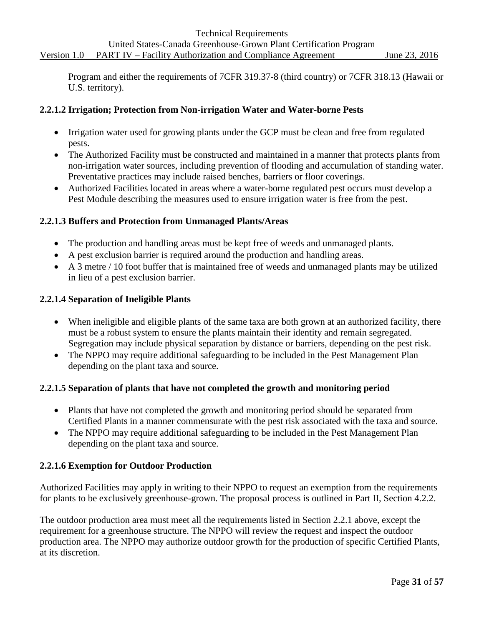Program and either the requirements of 7CFR 319.37-8 (third country) or 7CFR 318.13 (Hawaii or U.S. territory).

#### **2.2.1.2 Irrigation; Protection from Non-irrigation Water and Water-borne Pests**

- Irrigation water used for growing plants under the GCP must be clean and free from regulated pests.
- The Authorized Facility must be constructed and maintained in a manner that protects plants from non-irrigation water sources, including prevention of flooding and accumulation of standing water. Preventative practices may include raised benches, barriers or floor coverings.
- Authorized Facilities located in areas where a water-borne regulated pest occurs must develop a Pest Module describing the measures used to ensure irrigation water is free from the pest.

#### **2.2.1.3 Buffers and Protection from Unmanaged Plants/Areas**

- The production and handling areas must be kept free of weeds and unmanaged plants.
- A pest exclusion barrier is required around the production and handling areas.
- A 3 metre / 10 foot buffer that is maintained free of weeds and unmanaged plants may be utilized in lieu of a pest exclusion barrier.

#### **2.2.1.4 Separation of Ineligible Plants**

- When ineligible and eligible plants of the same taxa are both grown at an authorized facility, there must be a robust system to ensure the plants maintain their identity and remain segregated. Segregation may include physical separation by distance or barriers, depending on the pest risk.
- The NPPO may require additional safeguarding to be included in the Pest Management Plan depending on the plant taxa and source.

#### **2.2.1.5 Separation of plants that have not completed the growth and monitoring period**

- Plants that have not completed the growth and monitoring period should be separated from Certified Plants in a manner commensurate with the pest risk associated with the taxa and source.
- The NPPO may require additional safeguarding to be included in the Pest Management Plan depending on the plant taxa and source.

#### **2.2.1.6 Exemption for Outdoor Production**

Authorized Facilities may apply in writing to their NPPO to request an exemption from the requirements for plants to be exclusively greenhouse-grown. The proposal process is outlined in Part II, Section 4.2.2.

The outdoor production area must meet all the requirements listed in Section 2.2.1 above, except the requirement for a greenhouse structure. The NPPO will review the request and inspect the outdoor production area. The NPPO may authorize outdoor growth for the production of specific Certified Plants, at its discretion.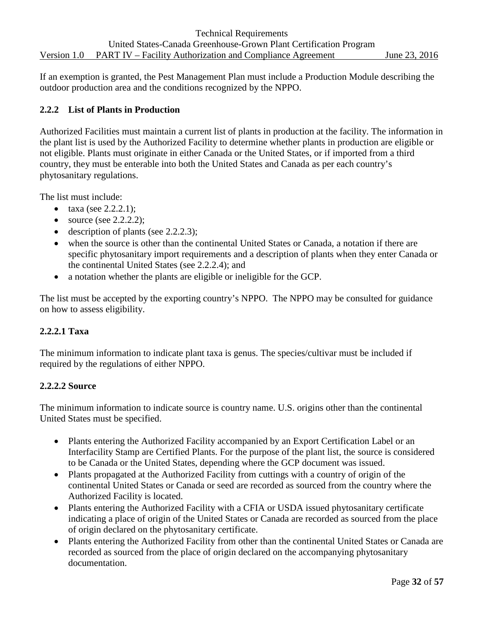If an exemption is granted, the Pest Management Plan must include a Production Module describing the outdoor production area and the conditions recognized by the NPPO.

#### **2.2.2 List of Plants in Production**

Authorized Facilities must maintain a current list of plants in production at the facility. The information in the plant list is used by the Authorized Facility to determine whether plants in production are eligible or not eligible. Plants must originate in either Canada or the United States, or if imported from a third country, they must be enterable into both the United States and Canada as per each country's phytosanitary regulations.

The list must include:

- taxa (see  $2.2.2.1$ );
- source (see 2.2.2.2);
- description of plants (see 2.2.2.3);
- when the source is other than the continental United States or Canada, a notation if there are specific phytosanitary import requirements and a description of plants when they enter Canada or the continental United States (see 2.2.2.4); and
- a notation whether the plants are eligible or ineligible for the GCP.

The list must be accepted by the exporting country's NPPO. The NPPO may be consulted for guidance on how to assess eligibility.

#### **2.2.2.1 Taxa**

The minimum information to indicate plant taxa is genus. The species/cultivar must be included if required by the regulations of either NPPO.

#### **2.2.2.2 Source**

The minimum information to indicate source is country name. U.S. origins other than the continental United States must be specified.

- Plants entering the Authorized Facility accompanied by an Export Certification Label or an Interfacility Stamp are Certified Plants. For the purpose of the plant list, the source is considered to be Canada or the United States, depending where the GCP document was issued.
- Plants propagated at the Authorized Facility from cuttings with a country of origin of the continental United States or Canada or seed are recorded as sourced from the country where the Authorized Facility is located.
- Plants entering the Authorized Facility with a CFIA or USDA issued phytosanitary certificate indicating a place of origin of the United States or Canada are recorded as sourced from the place of origin declared on the phytosanitary certificate.
- Plants entering the Authorized Facility from other than the continental United States or Canada are recorded as sourced from the place of origin declared on the accompanying phytosanitary documentation.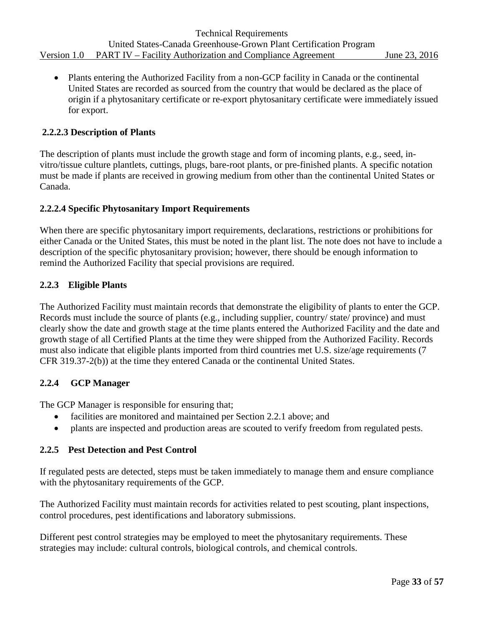• Plants entering the Authorized Facility from a non-GCP facility in Canada or the continental United States are recorded as sourced from the country that would be declared as the place of origin if a phytosanitary certificate or re-export phytosanitary certificate were immediately issued for export.

#### **2.2.2.3 Description of Plants**

The description of plants must include the growth stage and form of incoming plants, e.g., seed, invitro/tissue culture plantlets, cuttings, plugs, bare-root plants, or pre-finished plants. A specific notation must be made if plants are received in growing medium from other than the continental United States or Canada.

#### **2.2.2.4 Specific Phytosanitary Import Requirements**

When there are specific phytosanitary import requirements, declarations, restrictions or prohibitions for either Canada or the United States, this must be noted in the plant list. The note does not have to include a description of the specific phytosanitary provision; however, there should be enough information to remind the Authorized Facility that special provisions are required.

#### **2.2.3 Eligible Plants**

The Authorized Facility must maintain records that demonstrate the eligibility of plants to enter the GCP. Records must include the source of plants (e.g., including supplier, country/ state/ province) and must clearly show the date and growth stage at the time plants entered the Authorized Facility and the date and growth stage of all Certified Plants at the time they were shipped from the Authorized Facility. Records must also indicate that eligible plants imported from third countries met U.S. size/age requirements (7 CFR 319.37-2(b)) at the time they entered Canada or the continental United States.

#### **2.2.4 GCP Manager**

The GCP Manager is responsible for ensuring that;

- facilities are monitored and maintained per Section 2.2.1 above; and
- plants are inspected and production areas are scouted to verify freedom from regulated pests.

#### **2.2.5 Pest Detection and Pest Control**

If regulated pests are detected, steps must be taken immediately to manage them and ensure compliance with the phytosanitary requirements of the GCP.

The Authorized Facility must maintain records for activities related to pest scouting, plant inspections, control procedures, pest identifications and laboratory submissions.

Different pest control strategies may be employed to meet the phytosanitary requirements. These strategies may include: cultural controls, biological controls, and chemical controls.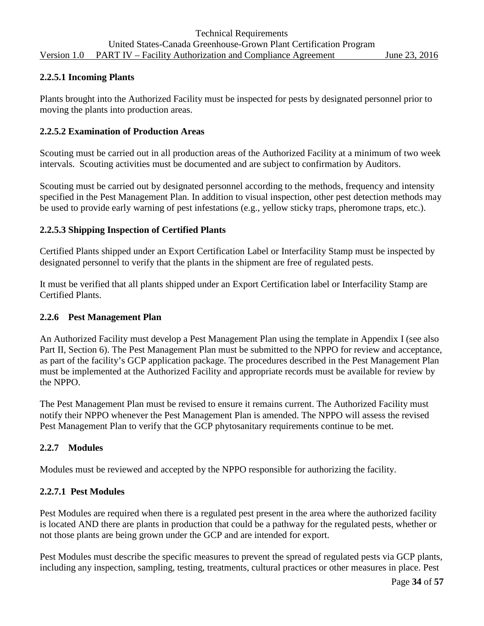#### **2.2.5.1 Incoming Plants**

Plants brought into the Authorized Facility must be inspected for pests by designated personnel prior to moving the plants into production areas.

#### **2.2.5.2 Examination of Production Areas**

Scouting must be carried out in all production areas of the Authorized Facility at a minimum of two week intervals. Scouting activities must be documented and are subject to confirmation by Auditors.

Scouting must be carried out by designated personnel according to the methods, frequency and intensity specified in the Pest Management Plan. In addition to visual inspection, other pest detection methods may be used to provide early warning of pest infestations (e.g., yellow sticky traps, pheromone traps, etc.).

#### **2.2.5.3 Shipping Inspection of Certified Plants**

Certified Plants shipped under an Export Certification Label or Interfacility Stamp must be inspected by designated personnel to verify that the plants in the shipment are free of regulated pests.

It must be verified that all plants shipped under an Export Certification label or Interfacility Stamp are Certified Plants.

#### **2.2.6 Pest Management Plan**

An Authorized Facility must develop a Pest Management Plan using the template in Appendix I (see also Part II, Section 6). The Pest Management Plan must be submitted to the NPPO for review and acceptance, as part of the facility's GCP application package. The procedures described in the Pest Management Plan must be implemented at the Authorized Facility and appropriate records must be available for review by the NPPO.

The Pest Management Plan must be revised to ensure it remains current. The Authorized Facility must notify their NPPO whenever the Pest Management Plan is amended. The NPPO will assess the revised Pest Management Plan to verify that the GCP phytosanitary requirements continue to be met.

#### **2.2.7 Modules**

Modules must be reviewed and accepted by the NPPO responsible for authorizing the facility.

#### **2.2.7.1 Pest Modules**

Pest Modules are required when there is a regulated pest present in the area where the authorized facility is located AND there are plants in production that could be a pathway for the regulated pests, whether or not those plants are being grown under the GCP and are intended for export.

Pest Modules must describe the specific measures to prevent the spread of regulated pests via GCP plants, including any inspection, sampling, testing, treatments, cultural practices or other measures in place. Pest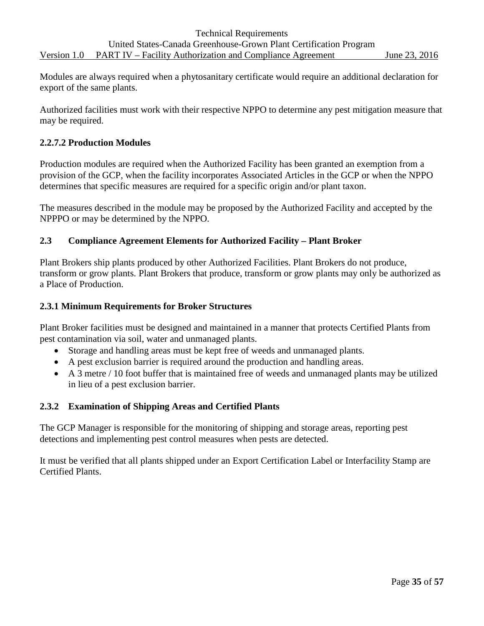Modules are always required when a phytosanitary certificate would require an additional declaration for export of the same plants.

Authorized facilities must work with their respective NPPO to determine any pest mitigation measure that may be required.

#### **2.2.7.2 Production Modules**

Production modules are required when the Authorized Facility has been granted an exemption from a provision of the GCP, when the facility incorporates Associated Articles in the GCP or when the NPPO determines that specific measures are required for a specific origin and/or plant taxon.

The measures described in the module may be proposed by the Authorized Facility and accepted by the NPPPO or may be determined by the NPPO.

#### <span id="page-34-0"></span>**2.3 Compliance Agreement Elements for Authorized Facility – Plant Broker**

Plant Brokers ship plants produced by other Authorized Facilities. Plant Brokers do not produce, transform or grow plants. Plant Brokers that produce, transform or grow plants may only be authorized as a Place of Production.

#### **2.3.1 Minimum Requirements for Broker Structures**

Plant Broker facilities must be designed and maintained in a manner that protects Certified Plants from pest contamination via soil, water and unmanaged plants.

- Storage and handling areas must be kept free of weeds and unmanaged plants.
- A pest exclusion barrier is required around the production and handling areas.
- A 3 metre / 10 foot buffer that is maintained free of weeds and unmanaged plants may be utilized in lieu of a pest exclusion barrier.

#### **2.3.2 Examination of Shipping Areas and Certified Plants**

The GCP Manager is responsible for the monitoring of shipping and storage areas, reporting pest detections and implementing pest control measures when pests are detected.

It must be verified that all plants shipped under an Export Certification Label or Interfacility Stamp are Certified Plants.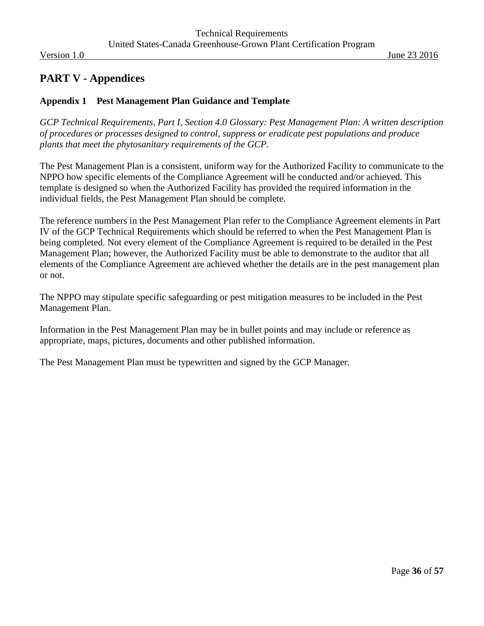## <span id="page-35-0"></span>**PART V - Appendices**

#### <span id="page-35-1"></span>**Appendix 1 Pest Management Plan Guidance and Template**

*GCP Technical Requirements, Part I, Section 4.0 Glossary: Pest Management Plan: A written description of procedures or processes designed to control, suppress or eradicate pest populations and produce plants that meet the phytosanitary requirements of the GCP.*

The Pest Management Plan is a consistent, uniform way for the Authorized Facility to communicate to the NPPO how specific elements of the Compliance Agreement will be conducted and/or achieved. This template is designed so when the Authorized Facility has provided the required information in the individual fields, the Pest Management Plan should be complete.

The reference numbers in the Pest Management Plan refer to the Compliance Agreement elements in Part IV of the GCP Technical Requirements which should be referred to when the Pest Management Plan is being completed. Not every element of the Compliance Agreement is required to be detailed in the Pest Management Plan; however, the Authorized Facility must be able to demonstrate to the auditor that all elements of the Compliance Agreement are achieved whether the details are in the pest management plan or not.

The NPPO may stipulate specific safeguarding or pest mitigation measures to be included in the Pest Management Plan.

Information in the Pest Management Plan may be in bullet points and may include or reference as appropriate, maps, pictures, documents and other published information.

The Pest Management Plan must be typewritten and signed by the GCP Manager.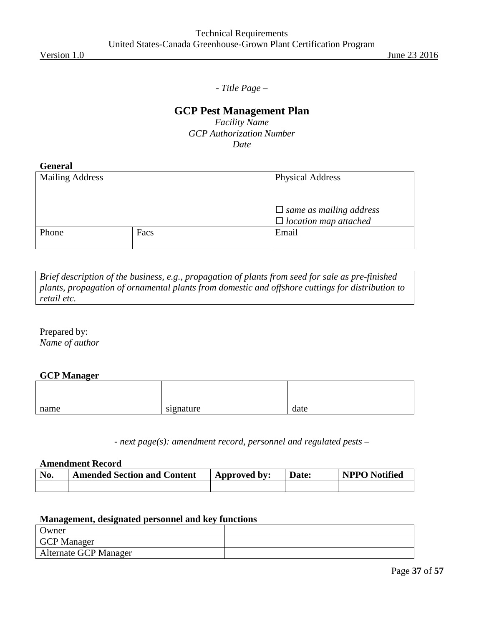*- Title Page –*

## **GCP Pest Management Plan**

*Facility Name GCP Authorization Number Date*

| enei<br>-20<br>и<br>O |
|-----------------------|
|-----------------------|

| <b>Mailing Address</b> |      | <b>Physical Address</b>        |
|------------------------|------|--------------------------------|
|                        |      |                                |
|                        |      | $\Box$ same as mailing address |
|                        |      | $\Box$ location map attached   |
| Phone                  | Facs | Email                          |
|                        |      |                                |

*Brief description of the business, e.g., propagation of plants from seed for sale as pre-finished plants, propagation of ornamental plants from domestic and offshore cuttings for distribution to retail etc.*

Prepared by: *Name of author*

#### **GCP Manager**

| name | signature<br>--- | date |
|------|------------------|------|

- *next page(s): amendment record, personnel and regulated pests* –

#### **Amendment Record**

| No. | <b>Amended Section and Content</b> | Approved by: | Date: | <b>NPPO</b> Notified |
|-----|------------------------------------|--------------|-------|----------------------|
|     |                                    |              |       |                      |

#### **Management, designated personnel and key functions**

| Owner                 |  |
|-----------------------|--|
| <b>GCP</b> Manager    |  |
| Alternate GCP Manager |  |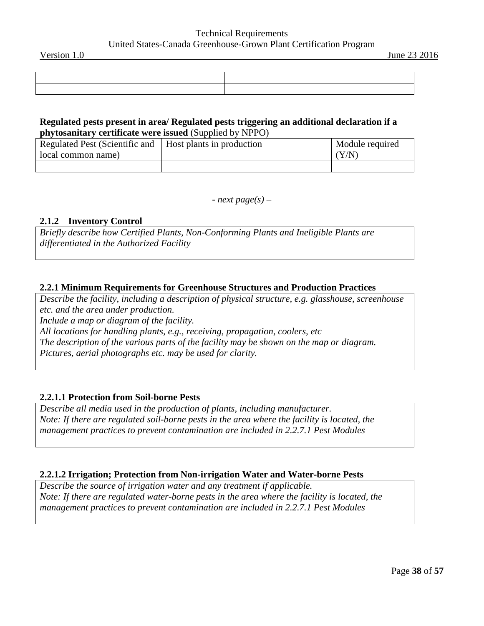#### Technical Requirements United States-Canada Greenhouse-Grown Plant Certification Program

#### **Regulated pests present in area/ Regulated pests triggering an additional declaration if a phytosanitary certificate were issued** (Supplied by NPPO)

| Regulated Pest (Scientific and   Host plants in production | Module required |
|------------------------------------------------------------|-----------------|
| local common name)                                         | (Y/N)           |
|                                                            |                 |

*- next page(s) –*

#### **2.1.2 Inventory Control**

*Briefly describe how Certified Plants, Non-Conforming Plants and Ineligible Plants are differentiated in the Authorized Facility*

#### **2.2.1 Minimum Requirements for Greenhouse Structures and Production Practices**

*Describe the facility, including a description of physical structure, e.g. glasshouse, screenhouse etc. and the area under production. Include a map or diagram of the facility. All locations for handling plants, e.g., receiving, propagation, coolers, etc The description of the various parts of the facility may be shown on the map or diagram. Pictures, aerial photographs etc. may be used for clarity.*

#### **2.2.1.1 Protection from Soil-borne Pests**

*Describe all media used in the production of plants, including manufacturer. Note: If there are regulated soil-borne pests in the area where the facility is located, the management practices to prevent contamination are included in 2.2.7.1 Pest Modules*

#### **2.2.1.2 Irrigation; Protection from Non-irrigation Water and Water-borne Pests**

*Describe the source of irrigation water and any treatment if applicable. Note: If there are regulated water-borne pests in the area where the facility is located, the management practices to prevent contamination are included in 2.2.7.1 Pest Modules*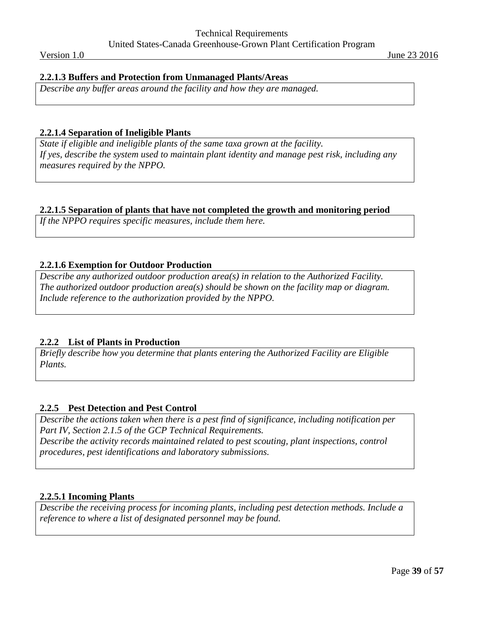#### **2.2.1.3 Buffers and Protection from Unmanaged Plants/Areas**

*Describe any buffer areas around the facility and how they are managed.*

#### **2.2.1.4 Separation of Ineligible Plants**

*State if eligible and ineligible plants of the same taxa grown at the facility. If yes, describe the system used to maintain plant identity and manage pest risk, including any measures required by the NPPO.*

#### **2.2.1.5 Separation of plants that have not completed the growth and monitoring period**

*If the NPPO requires specific measures, include them here.* 

#### **2.2.1.6 Exemption for Outdoor Production**

*Describe any authorized outdoor production area(s) in relation to the Authorized Facility. The authorized outdoor production area(s) should be shown on the facility map or diagram. Include reference to the authorization provided by the NPPO.*

#### **2.2.2 List of Plants in Production**

*Briefly describe how you determine that plants entering the Authorized Facility are Eligible Plants.*

#### **2.2.5 Pest Detection and Pest Control**

*Describe the actions taken when there is a pest find of significance, including notification per Part IV, Section 2.1.5 of the GCP Technical Requirements. Describe the activity records maintained related to pest scouting, plant inspections, control procedures, pest identifications and laboratory submissions.*

#### **2.2.5.1 Incoming Plants**

*Describe the receiving process for incoming plants, including pest detection methods. Include a reference to where a list of designated personnel may be found.*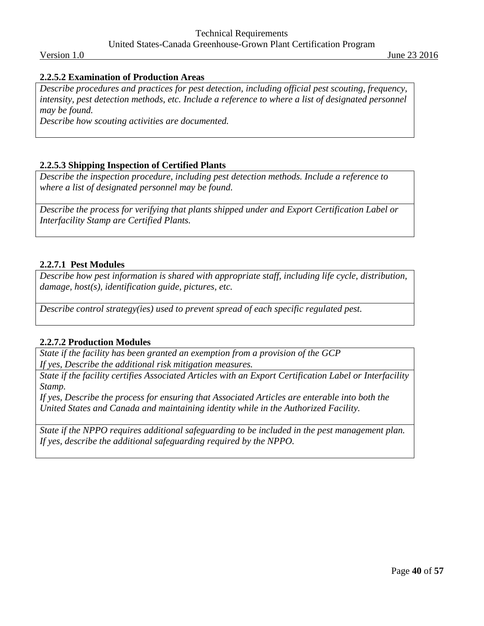#### **2.2.5.2 Examination of Production Areas**

*Describe procedures and practices for pest detection, including official pest scouting, frequency,*  intensity, pest detection methods, etc. Include a reference to where a list of designated personnel *may be found.*

*Describe how scouting activities are documented.*

#### **2.2.5.3 Shipping Inspection of Certified Plants**

*Describe the inspection procedure, including pest detection methods. Include a reference to where a list of designated personnel may be found.*

*Describe the process for verifying that plants shipped under and Export Certification Label or Interfacility Stamp are Certified Plants.*

#### **2.2.7.1 Pest Modules**

*Describe how pest information is shared with appropriate staff, including life cycle, distribution, damage, host(s), identification guide, pictures, etc.*

*Describe control strategy(ies) used to prevent spread of each specific regulated pest.*

#### **2.2.7.2 Production Modules**

*State if the facility has been granted an exemption from a provision of the GCP If yes, Describe the additional risk mitigation measures.*

*State if the facility certifies Associated Articles with an Export Certification Label or Interfacility Stamp.*

*If yes, Describe the process for ensuring that Associated Articles are enterable into both the United States and Canada and maintaining identity while in the Authorized Facility.*

*State if the NPPO requires additional safeguarding to be included in the pest management plan. If yes, describe the additional safeguarding required by the NPPO.*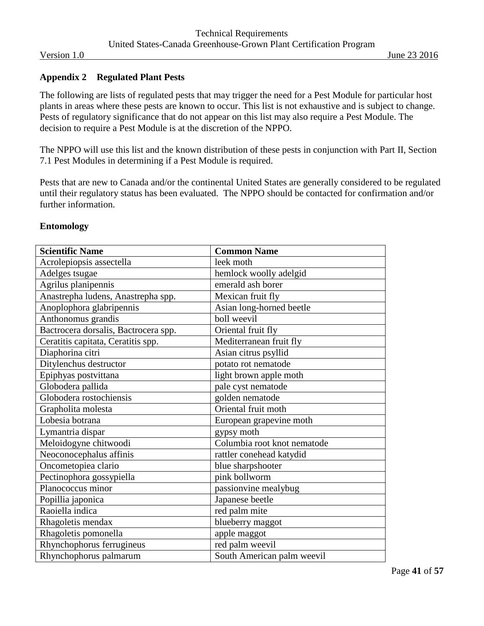#### <span id="page-40-0"></span>**Appendix 2 Regulated Plant Pests**

The following are lists of regulated pests that may trigger the need for a Pest Module for particular host plants in areas where these pests are known to occur. This list is not exhaustive and is subject to change. Pests of regulatory significance that do not appear on this list may also require a Pest Module. The decision to require a Pest Module is at the discretion of the NPPO.

The NPPO will use this list and the known distribution of these pests in conjunction with Part II, Section 7.1 Pest Modules in determining if a Pest Module is required.

Pests that are new to Canada and/or the continental United States are generally considered to be regulated until their regulatory status has been evaluated. The NPPO should be contacted for confirmation and/or further information.

| <b>Scientific Name</b>               | <b>Common Name</b>          |
|--------------------------------------|-----------------------------|
| Acrolepiopsis assectella             | leek moth                   |
| Adelges tsugae                       | hemlock woolly adelgid      |
| Agrilus planipennis                  | emerald ash borer           |
| Anastrepha ludens, Anastrepha spp.   | Mexican fruit fly           |
| Anoplophora glabripennis             | Asian long-horned beetle    |
| Anthonomus grandis                   | boll weevil                 |
| Bactrocera dorsalis, Bactrocera spp. | Oriental fruit fly          |
| Ceratitis capitata, Ceratitis spp.   | Mediterranean fruit fly     |
| Diaphorina citri                     | Asian citrus psyllid        |
| Ditylenchus destructor               | potato rot nematode         |
| Epiphyas postvittana                 | light brown apple moth      |
| Globodera pallida                    | pale cyst nematode          |
| Globodera rostochiensis              | golden nematode             |
| Grapholita molesta                   | Oriental fruit moth         |
| Lobesia botrana                      | European grapevine moth     |
| Lymantria dispar                     | gypsy moth                  |
| Meloidogyne chitwoodi                | Columbia root knot nematode |
| Neoconocephalus affinis              | rattler conehead katydid    |
| Oncometopiea clario                  | blue sharpshooter           |
| Pectinophora gossypiella             | pink bollworm               |
| Planococcus minor                    | passionvine mealybug        |
| Popillia japonica                    | Japanese beetle             |
| Raoiella indica                      | red palm mite               |
| Rhagoletis mendax                    | blueberry maggot            |
| Rhagoletis pomonella                 | apple maggot                |
| Rhynchophorus ferrugineus            | red palm weevil             |
| Rhynchophorus palmarum               | South American palm weevil  |

#### **Entomology**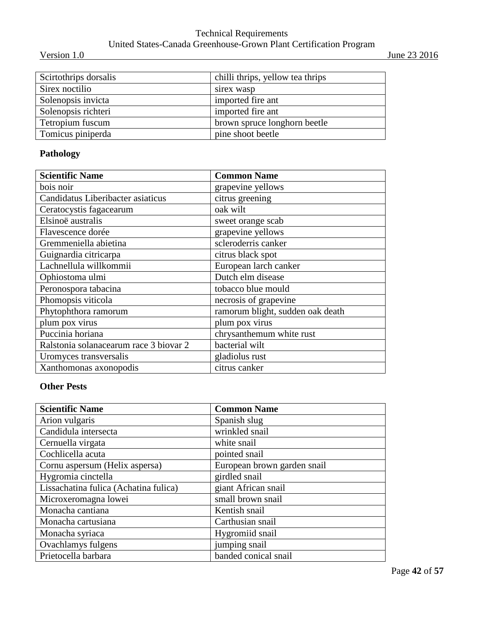## Technical Requirements United States-Canada Greenhouse-Grown Plant Certification Program

Version 1.0 June 23 2016

| Scirtothrips dorsalis | chilli thrips, yellow tea thrips |
|-----------------------|----------------------------------|
| Sirex noctilio        | sirex wasp                       |
| Solenopsis invicta    | imported fire ant                |
| Solenopsis richteri   | imported fire ant                |
| Tetropium fuscum      | brown spruce longhorn beetle     |
| Tomicus piniperda     | pine shoot beetle                |

## **Pathology**

| <b>Scientific Name</b>                 | <b>Common Name</b>               |
|----------------------------------------|----------------------------------|
| bois noir                              | grapevine yellows                |
| Candidatus Liberibacter asiaticus      | citrus greening                  |
| Ceratocystis fagacearum                | oak wilt                         |
| Elsinoë australis                      | sweet orange scab                |
| Flavescence dorée                      | grapevine yellows                |
| Gremmeniella abietina                  | scleroderris canker              |
| Guignardia citricarpa                  | citrus black spot                |
| Lachnellula willkommii                 | European larch canker            |
| Ophiostoma ulmi                        | Dutch elm disease                |
| Peronospora tabacina                   | tobacco blue mould               |
| Phomopsis viticola                     | necrosis of grapevine            |
| Phytophthora ramorum                   | ramorum blight, sudden oak death |
| plum pox virus                         | plum pox virus                   |
| Puccinia horiana                       | chrysanthemum white rust         |
| Ralstonia solanacearum race 3 biovar 2 | bacterial wilt                   |
| Uromyces transversalis                 | gladiolus rust                   |
| Xanthomonas axonopodis                 | citrus canker                    |

## **Other Pests**

| <b>Scientific Name</b>                | <b>Common Name</b>          |
|---------------------------------------|-----------------------------|
| Arion vulgaris                        | Spanish slug                |
| Candidula intersecta                  | wrinkled snail              |
| Cernuella virgata                     | white snail                 |
| Cochlicella acuta                     | pointed snail               |
| Cornu aspersum (Helix aspersa)        | European brown garden snail |
| Hygromia cinctella                    | girdled snail               |
| Lissachatina fulica (Achatina fulica) | giant African snail         |
| Microxeromagna lowei                  | small brown snail           |
| Monacha cantiana                      | Kentish snail               |
| Monacha cartusiana                    | Carthusian snail            |
| Monacha syriaca                       | Hygromiid snail             |
| Ovachlamys fulgens                    | jumping snail               |
| Prietocella barbara                   | banded conical snail        |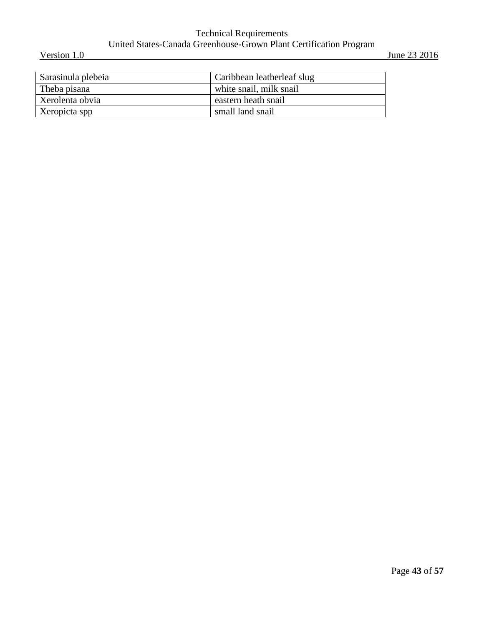#### Technical Requirements United States-Canada Greenhouse-Grown Plant Certification Program Version 1.0 June 23 2016

| Sarasinula plebeia | Caribbean leatherleaf slug |
|--------------------|----------------------------|
| Theba pisana       | white snail, milk snail    |
| Xerolenta obvia    | eastern heath snail        |
| Xeropicta spp      | small land snail           |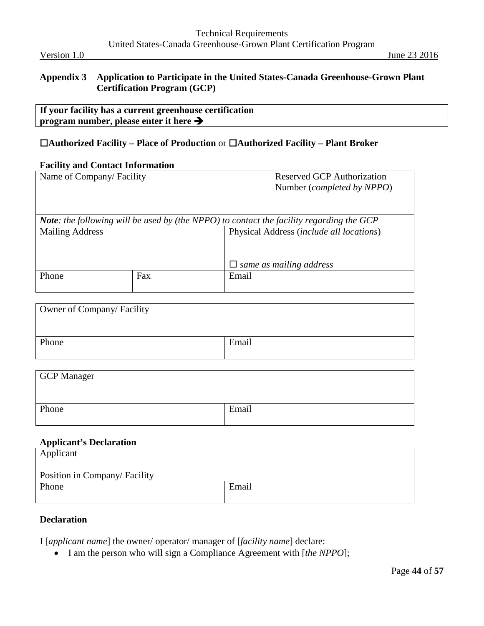#### <span id="page-43-0"></span>**Appendix 3 Application to Participate in the United States-Canada Greenhouse-Grown Plant Certification Program (GCP)**

| If your facility has a current greenhouse certification |  |
|---------------------------------------------------------|--|
| program number, please enter it here $\rightarrow$      |  |

### **Authorized Facility – Place of Production** or **Authorized Facility – Plant Broker**

#### **Facility and Contact Information**

| Name of Company/Facility |     |       | <b>Reserved GCP Authorization</b>                                                               |  |
|--------------------------|-----|-------|-------------------------------------------------------------------------------------------------|--|
|                          |     |       | Number ( <i>completed by NPPO</i> )                                                             |  |
|                          |     |       |                                                                                                 |  |
|                          |     |       |                                                                                                 |  |
|                          |     |       | <b>Note:</b> the following will be used by (the NPPO) to contact the facility regarding the GCP |  |
| <b>Mailing Address</b>   |     |       | Physical Address (include all locations)                                                        |  |
|                          |     |       |                                                                                                 |  |
|                          |     |       |                                                                                                 |  |
|                          |     |       | $\Box$ same as mailing address                                                                  |  |
| Phone                    | Fax | Email |                                                                                                 |  |
|                          |     |       |                                                                                                 |  |

| Owner of Company/ Facility |       |
|----------------------------|-------|
| Phone                      | Email |

| <b>GCP</b> Manager |       |
|--------------------|-------|
|                    |       |
| Phone              | Email |

## **Applicant's Declaration**

| Applicant                     |       |
|-------------------------------|-------|
| Position in Company/ Facility |       |
| Phone                         | Email |

#### **Declaration**

I [*applicant name*] the owner/ operator/ manager of [*facility name*] declare:

• I am the person who will sign a Compliance Agreement with [*the NPPO*];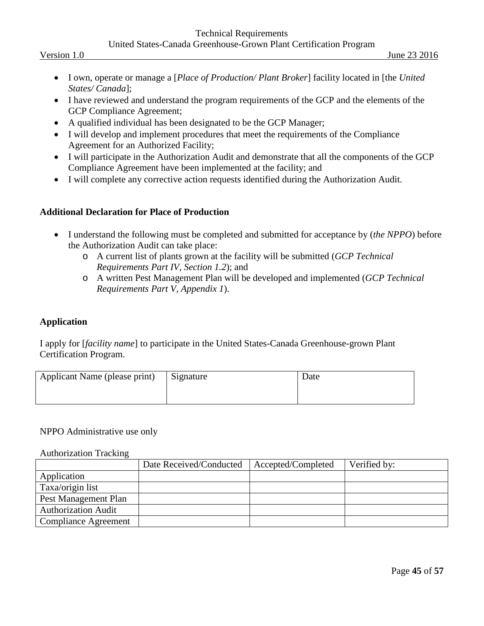#### Technical Requirements United States-Canada Greenhouse-Grown Plant Certification Program

- I own, operate or manage a [*Place of Production/ Plant Broker*] facility located in [the *United States/ Canada*];
- I have reviewed and understand the program requirements of the GCP and the elements of the GCP Compliance Agreement;
- A qualified individual has been designated to be the GCP Manager;
- I will develop and implement procedures that meet the requirements of the Compliance Agreement for an Authorized Facility;
- I will participate in the Authorization Audit and demonstrate that all the components of the GCP Compliance Agreement have been implemented at the facility; and
- I will complete any corrective action requests identified during the Authorization Audit.

#### **Additional Declaration for Place of Production**

- I understand the following must be completed and submitted for acceptance by (*the NPPO*) before the Authorization Audit can take place:
	- o A current list of plants grown at the facility will be submitted (*GCP Technical Requirements Part IV, Section 1.2*); and
	- o A written Pest Management Plan will be developed and implemented (*GCP Technical Requirements Part V, Appendix 1*).

#### **Application**

I apply for [*facility name*] to participate in the United States-Canada Greenhouse-grown Plant Certification Program.

| Applicant Name (please print) | Signature | Date |
|-------------------------------|-----------|------|
|                               |           |      |

#### NPPO Administrative use only

#### Authorization Tracking

|                            | Date Received/Conducted | Accepted/Completed | Verified by: |
|----------------------------|-------------------------|--------------------|--------------|
| Application                |                         |                    |              |
| Taxa/origin list           |                         |                    |              |
| Pest Management Plan       |                         |                    |              |
| <b>Authorization Audit</b> |                         |                    |              |
| Compliance Agreement       |                         |                    |              |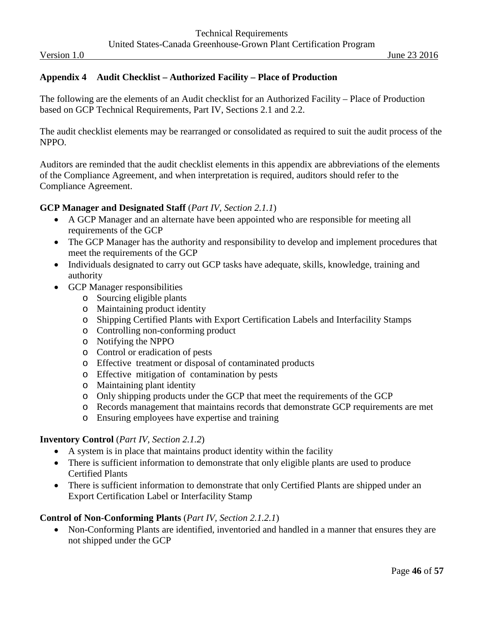#### <span id="page-45-0"></span>**Appendix 4 Audit Checklist – Authorized Facility – Place of Production**

The following are the elements of an Audit checklist for an Authorized Facility – Place of Production based on GCP Technical Requirements, Part IV, Sections 2.1 and 2.2.

The audit checklist elements may be rearranged or consolidated as required to suit the audit process of the NPPO.

Auditors are reminded that the audit checklist elements in this appendix are abbreviations of the elements of the Compliance Agreement, and when interpretation is required, auditors should refer to the Compliance Agreement.

#### **GCP Manager and Designated Staff** (*Part IV, Section 2.1.1*)

- A GCP Manager and an alternate have been appointed who are responsible for meeting all requirements of the GCP
- The GCP Manager has the authority and responsibility to develop and implement procedures that meet the requirements of the GCP
- Individuals designated to carry out GCP tasks have adequate, skills, knowledge, training and authority
- GCP Manager responsibilities
	- o Sourcing eligible plants
	- o Maintaining product identity
	- o Shipping Certified Plants with Export Certification Labels and Interfacility Stamps
	- o Controlling non-conforming product
	- o Notifying the NPPO
	- o Control or eradication of pests
	- o Effective treatment or disposal of contaminated products
	- o Effective mitigation of contamination by pests
	- o Maintaining plant identity
	- o Only shipping products under the GCP that meet the requirements of the GCP
	- o Records management that maintains records that demonstrate GCP requirements are met
	- o Ensuring employees have expertise and training

#### **Inventory Control** (*Part IV, Section 2.1.2*)

- A system is in place that maintains product identity within the facility
- There is sufficient information to demonstrate that only eligible plants are used to produce Certified Plants
- There is sufficient information to demonstrate that only Certified Plants are shipped under an Export Certification Label or Interfacility Stamp

#### **Control of Non-Conforming Plants** (*Part IV, Section 2.1.2.1*)

• Non-Conforming Plants are identified, inventoried and handled in a manner that ensures they are not shipped under the GCP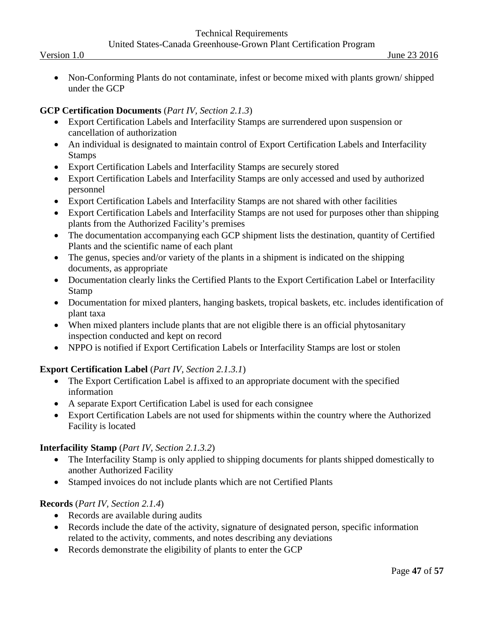• Non-Conforming Plants do not contaminate, infest or become mixed with plants grown/shipped under the GCP

#### **GCP Certification Documents** (*Part IV, Section 2.1.3*)

- Export Certification Labels and Interfacility Stamps are surrendered upon suspension or cancellation of authorization
- An individual is designated to maintain control of Export Certification Labels and Interfacility Stamps
- Export Certification Labels and Interfacility Stamps are securely stored
- Export Certification Labels and Interfacility Stamps are only accessed and used by authorized personnel
- Export Certification Labels and Interfacility Stamps are not shared with other facilities
- Export Certification Labels and Interfacility Stamps are not used for purposes other than shipping plants from the Authorized Facility's premises
- The documentation accompanying each GCP shipment lists the destination, quantity of Certified Plants and the scientific name of each plant
- The genus, species and/or variety of the plants in a shipment is indicated on the shipping documents, as appropriate
- Documentation clearly links the Certified Plants to the Export Certification Label or Interfacility Stamp
- Documentation for mixed planters, hanging baskets, tropical baskets, etc. includes identification of plant taxa
- When mixed planters include plants that are not eligible there is an official phytosanitary inspection conducted and kept on record
- NPPO is notified if Export Certification Labels or Interfacility Stamps are lost or stolen

## **Export Certification Label** (*Part IV, Section 2.1.3.1*)

- The Export Certification Label is affixed to an appropriate document with the specified information
- A separate Export Certification Label is used for each consignee
- Export Certification Labels are not used for shipments within the country where the Authorized Facility is located

#### **Interfacility Stamp** (*Part IV, Section 2.1.3.2*)

- The Interfacility Stamp is only applied to shipping documents for plants shipped domestically to another Authorized Facility
- Stamped invoices do not include plants which are not Certified Plants

## **Records** (*Part IV, Section 2.1.4*)

- Records are available during audits
- Records include the date of the activity, signature of designated person, specific information related to the activity, comments, and notes describing any deviations
- Records demonstrate the eligibility of plants to enter the GCP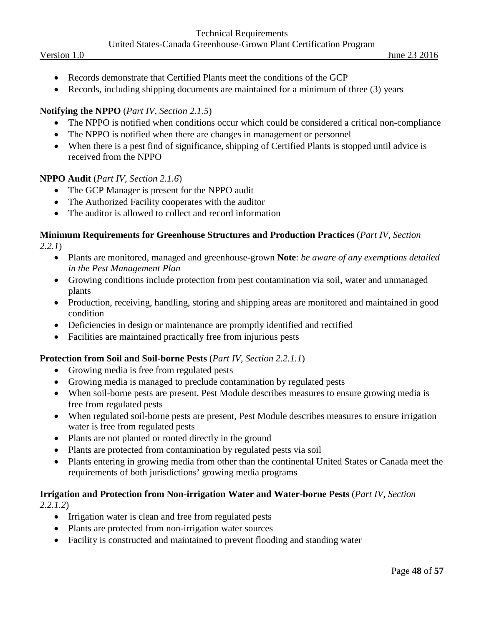- Records demonstrate that Certified Plants meet the conditions of the GCP
- Records, including shipping documents are maintained for a minimum of three (3) years

#### **Notifying the NPPO** (*Part IV, Section 2.1.5*)

- The NPPO is notified when conditions occur which could be considered a critical non-compliance
- The NPPO is notified when there are changes in management or personnel
- When there is a pest find of significance, shipping of Certified Plants is stopped until advice is received from the NPPO

#### **NPPO Audit** (*Part IV, Section 2.1.6*)

- The GCP Manager is present for the NPPO audit
- The Authorized Facility cooperates with the auditor
- The auditor is allowed to collect and record information

#### **Minimum Requirements for Greenhouse Structures and Production Practices** (*Part IV, Section 2.2.1*)

- Plants are monitored, managed and greenhouse-grown **Note**: *be aware of any exemptions detailed in the Pest Management Plan*
- Growing conditions include protection from pest contamination via soil, water and unmanaged plants
- Production, receiving, handling, storing and shipping areas are monitored and maintained in good condition
- Deficiencies in design or maintenance are promptly identified and rectified
- Facilities are maintained practically free from injurious pests

#### **Protection from Soil and Soil-borne Pests** (*Part IV, Section 2.2.1.1*)

- Growing media is free from regulated pests
- Growing media is managed to preclude contamination by regulated pests
- When soil-borne pests are present, Pest Module describes measures to ensure growing media is free from regulated pests
- When regulated soil-borne pests are present, Pest Module describes measures to ensure irrigation water is free from regulated pests
- Plants are not planted or rooted directly in the ground
- Plants are protected from contamination by regulated pests via soil
- Plants entering in growing media from other than the continental United States or Canada meet the requirements of both jurisdictions' growing media programs

#### **Irrigation and Protection from Non-irrigation Water and Water-borne Pests** (*Part IV, Section 2.2.1.2*)

- Irrigation water is clean and free from regulated pests
- Plants are protected from non-irrigation water sources
- Facility is constructed and maintained to prevent flooding and standing water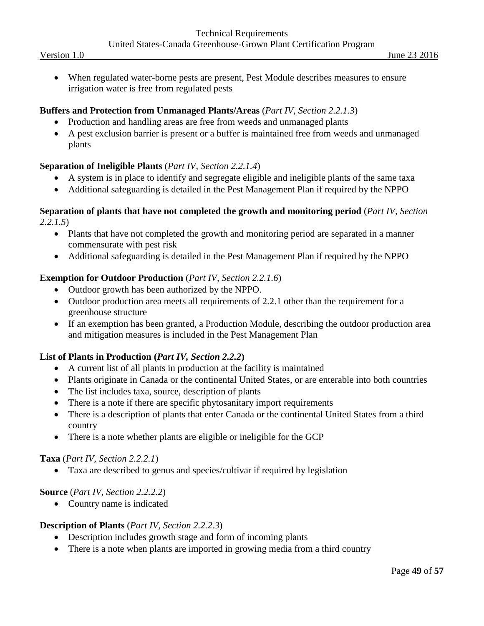• When regulated water-borne pests are present, Pest Module describes measures to ensure irrigation water is free from regulated pests

#### **Buffers and Protection from Unmanaged Plants/Areas** (*Part IV, Section 2.2.1.3*)

- Production and handling areas are free from weeds and unmanaged plants
- A pest exclusion barrier is present or a buffer is maintained free from weeds and unmanaged plants

### **Separation of Ineligible Plants** (*Part IV, Section 2.2.1.4*)

- A system is in place to identify and segregate eligible and ineligible plants of the same taxa
- Additional safeguarding is detailed in the Pest Management Plan if required by the NPPO

#### **Separation of plants that have not completed the growth and monitoring period** (*Part IV, Section 2.2.1.5*)

- Plants that have not completed the growth and monitoring period are separated in a manner commensurate with pest risk
- Additional safeguarding is detailed in the Pest Management Plan if required by the NPPO

### **Exemption for Outdoor Production** (*Part IV, Section 2.2.1.6*)

- Outdoor growth has been authorized by the NPPO.
- Outdoor production area meets all requirements of 2.2.1 other than the requirement for a greenhouse structure
- If an exemption has been granted, a Production Module, describing the outdoor production area and mitigation measures is included in the Pest Management Plan

#### **List of Plants in Production (***Part IV, Section 2.2.2***)**

- A current list of all plants in production at the facility is maintained
- Plants originate in Canada or the continental United States, or are enterable into both countries
- The list includes taxa, source, description of plants
- There is a note if there are specific phytosanitary import requirements
- There is a description of plants that enter Canada or the continental United States from a third country
- There is a note whether plants are eligible or ineligible for the GCP

#### **Taxa** (*Part IV, Section 2.2.2.1*)

• Taxa are described to genus and species/cultivar if required by legislation

#### **Source** (*Part IV, Section 2.2.2.2*)

• Country name is indicated

#### **Description of Plants** (*Part IV, Section 2.2.2.3*)

- Description includes growth stage and form of incoming plants
- There is a note when plants are imported in growing media from a third country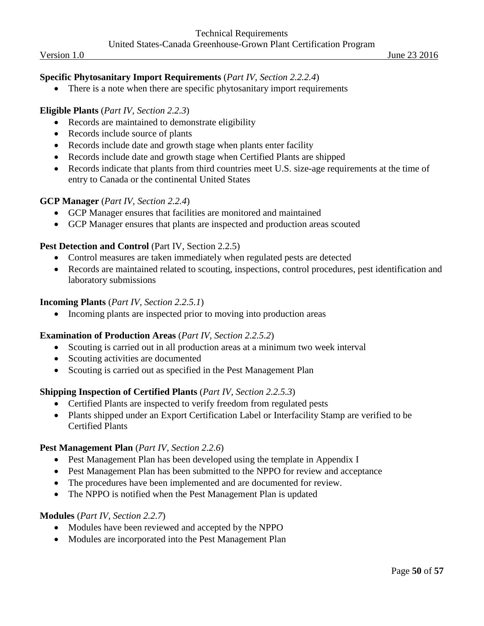#### **Specific Phytosanitary Import Requirements** (*Part IV, Section 2.2.2.4*)

• There is a note when there are specific phytosanitary import requirements

#### **Eligible Plants** (*Part IV, Section 2.2.3*)

- Records are maintained to demonstrate eligibility
- Records include source of plants
- Records include date and growth stage when plants enter facility
- Records include date and growth stage when Certified Plants are shipped
- Records indicate that plants from third countries meet U.S. size-age requirements at the time of entry to Canada or the continental United States

#### **GCP Manager** (*Part IV, Section 2.2.4*)

- GCP Manager ensures that facilities are monitored and maintained
- GCP Manager ensures that plants are inspected and production areas scouted

#### Pest Detection and Control (Part IV, Section 2.2.5)

- Control measures are taken immediately when regulated pests are detected
- Records are maintained related to scouting, inspections, control procedures, pest identification and laboratory submissions

#### **Incoming Plants** (*Part IV, Section 2.2.5.1*)

• Incoming plants are inspected prior to moving into production areas

#### **Examination of Production Areas** (*Part IV, Section 2.2.5.2*)

- Scouting is carried out in all production areas at a minimum two week interval
- Scouting activities are documented
- Scouting is carried out as specified in the Pest Management Plan

#### **Shipping Inspection of Certified Plants** (*Part IV, Section 2.2.5.3*)

- Certified Plants are inspected to verify freedom from regulated pests
- Plants shipped under an Export Certification Label or Interfacility Stamp are verified to be Certified Plants

#### **Pest Management Plan** (*Part IV, Section 2.2.6*)

- Pest Management Plan has been developed using the template in Appendix I
- Pest Management Plan has been submitted to the NPPO for review and acceptance
- The procedures have been implemented and are documented for review.
- The NPPO is notified when the Pest Management Plan is updated

#### **Modules** (*Part IV, Section 2.2.7*)

- Modules have been reviewed and accepted by the NPPO
- Modules are incorporated into the Pest Management Plan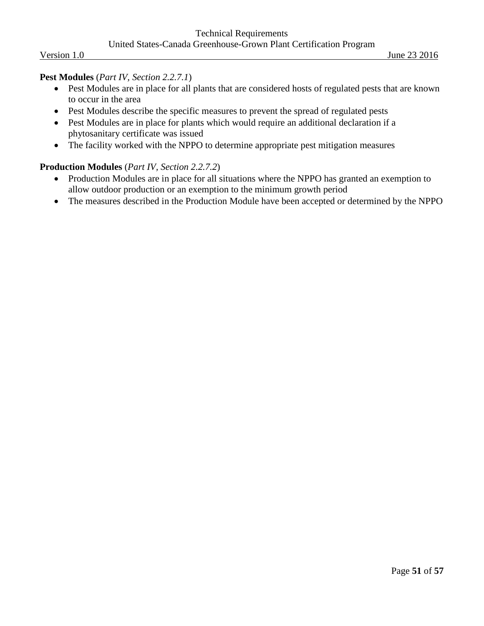#### **Pest Modules** (*Part IV, Section 2.2.7.1*)

- Pest Modules are in place for all plants that are considered hosts of regulated pests that are known to occur in the area
- Pest Modules describe the specific measures to prevent the spread of regulated pests
- Pest Modules are in place for plants which would require an additional declaration if a phytosanitary certificate was issued
- The facility worked with the NPPO to determine appropriate pest mitigation measures

#### **Production Modules** (*Part IV, Section 2.2.7.2*)

- Production Modules are in place for all situations where the NPPO has granted an exemption to allow outdoor production or an exemption to the minimum growth period
- The measures described in the Production Module have been accepted or determined by the NPPO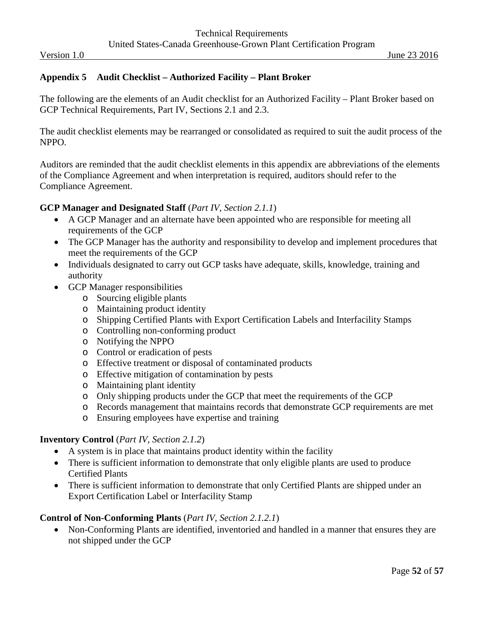#### <span id="page-51-0"></span>**Appendix 5 Audit Checklist – Authorized Facility – Plant Broker**

The following are the elements of an Audit checklist for an Authorized Facility – Plant Broker based on GCP Technical Requirements, Part IV, Sections 2.1 and 2.3.

The audit checklist elements may be rearranged or consolidated as required to suit the audit process of the NPPO.

Auditors are reminded that the audit checklist elements in this appendix are abbreviations of the elements of the Compliance Agreement and when interpretation is required, auditors should refer to the Compliance Agreement.

#### **GCP Manager and Designated Staff** (*Part IV, Section 2.1.1*)

- A GCP Manager and an alternate have been appointed who are responsible for meeting all requirements of the GCP
- The GCP Manager has the authority and responsibility to develop and implement procedures that meet the requirements of the GCP
- Individuals designated to carry out GCP tasks have adequate, skills, knowledge, training and authority
- GCP Manager responsibilities
	- o Sourcing eligible plants
	- o Maintaining product identity
	- o Shipping Certified Plants with Export Certification Labels and Interfacility Stamps
	- o Controlling non-conforming product
	- o Notifying the NPPO
	- o Control or eradication of pests
	- o Effective treatment or disposal of contaminated products
	- o Effective mitigation of contamination by pests
	- o Maintaining plant identity
	- o Only shipping products under the GCP that meet the requirements of the GCP
	- o Records management that maintains records that demonstrate GCP requirements are met
	- o Ensuring employees have expertise and training

#### **Inventory Control** (*Part IV, Section 2.1.2*)

- A system is in place that maintains product identity within the facility
- There is sufficient information to demonstrate that only eligible plants are used to produce Certified Plants
- There is sufficient information to demonstrate that only Certified Plants are shipped under an Export Certification Label or Interfacility Stamp

#### **Control of Non-Conforming Plants** (*Part IV, Section 2.1.2.1*)

• Non-Conforming Plants are identified, inventoried and handled in a manner that ensures they are not shipped under the GCP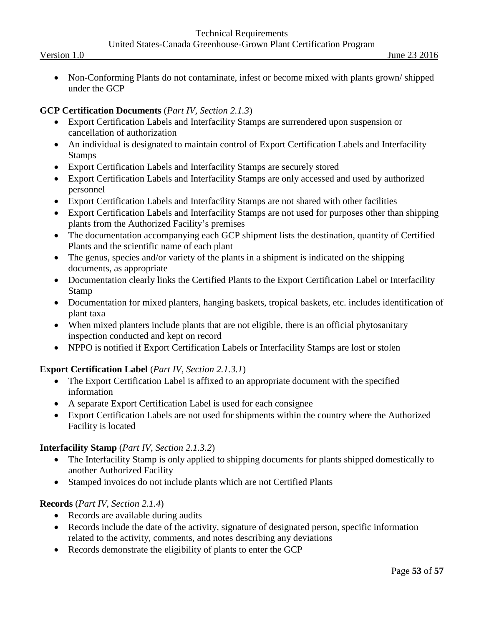• Non-Conforming Plants do not contaminate, infest or become mixed with plants grown/shipped under the GCP

#### **GCP Certification Documents** (*Part IV, Section 2.1.3*)

- Export Certification Labels and Interfacility Stamps are surrendered upon suspension or cancellation of authorization
- An individual is designated to maintain control of Export Certification Labels and Interfacility Stamps
- Export Certification Labels and Interfacility Stamps are securely stored
- Export Certification Labels and Interfacility Stamps are only accessed and used by authorized personnel
- Export Certification Labels and Interfacility Stamps are not shared with other facilities
- Export Certification Labels and Interfacility Stamps are not used for purposes other than shipping plants from the Authorized Facility's premises
- The documentation accompanying each GCP shipment lists the destination, quantity of Certified Plants and the scientific name of each plant
- The genus, species and/or variety of the plants in a shipment is indicated on the shipping documents, as appropriate
- Documentation clearly links the Certified Plants to the Export Certification Label or Interfacility Stamp
- Documentation for mixed planters, hanging baskets, tropical baskets, etc. includes identification of plant taxa
- When mixed planters include plants that are not eligible, there is an official phytosanitary inspection conducted and kept on record
- NPPO is notified if Export Certification Labels or Interfacility Stamps are lost or stolen

## **Export Certification Label** (*Part IV, Section 2.1.3.1*)

- The Export Certification Label is affixed to an appropriate document with the specified information
- A separate Export Certification Label is used for each consignee
- Export Certification Labels are not used for shipments within the country where the Authorized Facility is located

#### **Interfacility Stamp** (*Part IV, Section 2.1.3.2*)

- The Interfacility Stamp is only applied to shipping documents for plants shipped domestically to another Authorized Facility
- Stamped invoices do not include plants which are not Certified Plants

## **Records** (*Part IV, Section 2.1.4*)

- Records are available during audits
- Records include the date of the activity, signature of designated person, specific information related to the activity, comments, and notes describing any deviations
- Records demonstrate the eligibility of plants to enter the GCP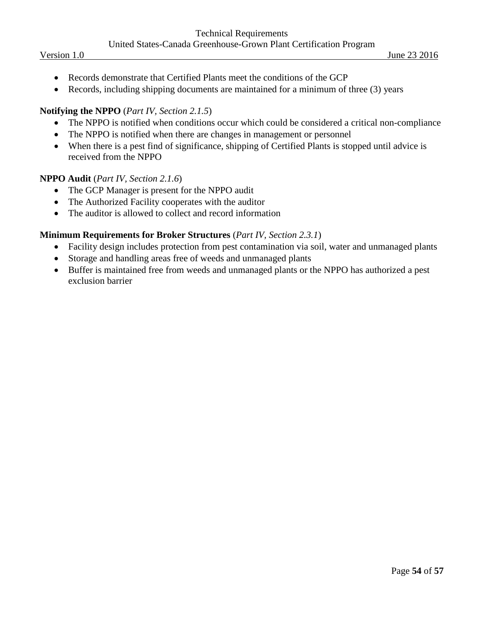- Records demonstrate that Certified Plants meet the conditions of the GCP
- Records, including shipping documents are maintained for a minimum of three (3) years

#### **Notifying the NPPO** (*Part IV, Section 2.1.5*)

- The NPPO is notified when conditions occur which could be considered a critical non-compliance
- The NPPO is notified when there are changes in management or personnel
- When there is a pest find of significance, shipping of Certified Plants is stopped until advice is received from the NPPO

#### **NPPO Audit** (*Part IV, Section 2.1.6*)

- The GCP Manager is present for the NPPO audit
- The Authorized Facility cooperates with the auditor
- The auditor is allowed to collect and record information

#### **Minimum Requirements for Broker Structures** (*Part IV, Section 2.3.1*)

- Facility design includes protection from pest contamination via soil, water and unmanaged plants
- Storage and handling areas free of weeds and unmanaged plants
- Buffer is maintained free from weeds and unmanaged plants or the NPPO has authorized a pest exclusion barrier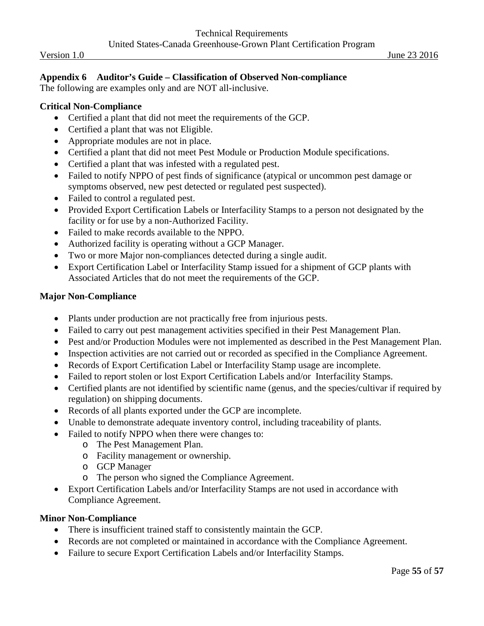#### <span id="page-54-0"></span>**Appendix 6 Auditor's Guide – Classification of Observed Non-compliance**

The following are examples only and are NOT all-inclusive.

#### **Critical Non-Compliance**

- Certified a plant that did not meet the requirements of the GCP.
- Certified a plant that was not Eligible.
- Appropriate modules are not in place.
- Certified a plant that did not meet Pest Module or Production Module specifications.
- Certified a plant that was infested with a regulated pest.
- Failed to notify NPPO of pest finds of significance (atypical or uncommon pest damage or symptoms observed, new pest detected or regulated pest suspected).
- Failed to control a regulated pest.
- Provided Export Certification Labels or Interfacility Stamps to a person not designated by the facility or for use by a non-Authorized Facility.
- Failed to make records available to the NPPO.
- Authorized facility is operating without a GCP Manager.
- Two or more Major non-compliances detected during a single audit.
- Export Certification Label or Interfacility Stamp issued for a shipment of GCP plants with Associated Articles that do not meet the requirements of the GCP.

#### **Major Non-Compliance**

- Plants under production are not practically free from injurious pests.
- Failed to carry out pest management activities specified in their Pest Management Plan.
- Pest and/or Production Modules were not implemented as described in the Pest Management Plan.
- Inspection activities are not carried out or recorded as specified in the Compliance Agreement.
- Records of Export Certification Label or Interfacility Stamp usage are incomplete.
- Failed to report stolen or lost Export Certification Labels and/or Interfacility Stamps.
- Certified plants are not identified by scientific name (genus, and the species/cultivar if required by regulation) on shipping documents.
- Records of all plants exported under the GCP are incomplete.
- Unable to demonstrate adequate inventory control, including traceability of plants.
- Failed to notify NPPO when there were changes to:
	- o The Pest Management Plan.
	- o Facility management or ownership.
	- o GCP Manager
	- o The person who signed the Compliance Agreement.
- Export Certification Labels and/or Interfacility Stamps are not used in accordance with Compliance Agreement.

#### **Minor Non-Compliance**

- There is insufficient trained staff to consistently maintain the GCP.
- Records are not completed or maintained in accordance with the Compliance Agreement.
- Failure to secure Export Certification Labels and/or Interfacility Stamps.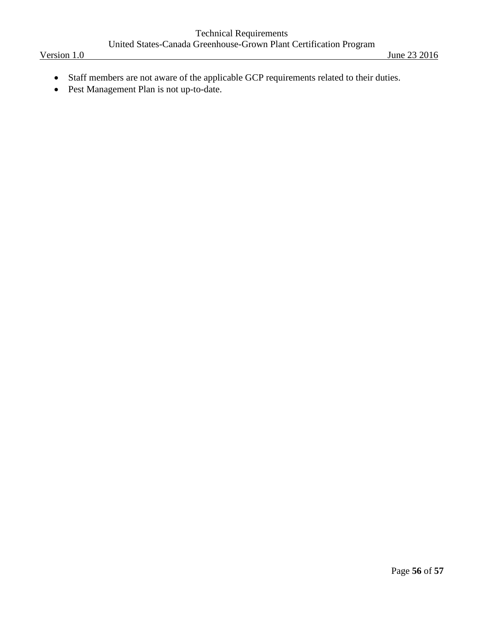- Staff members are not aware of the applicable GCP requirements related to their duties.
- Pest Management Plan is not up-to-date.